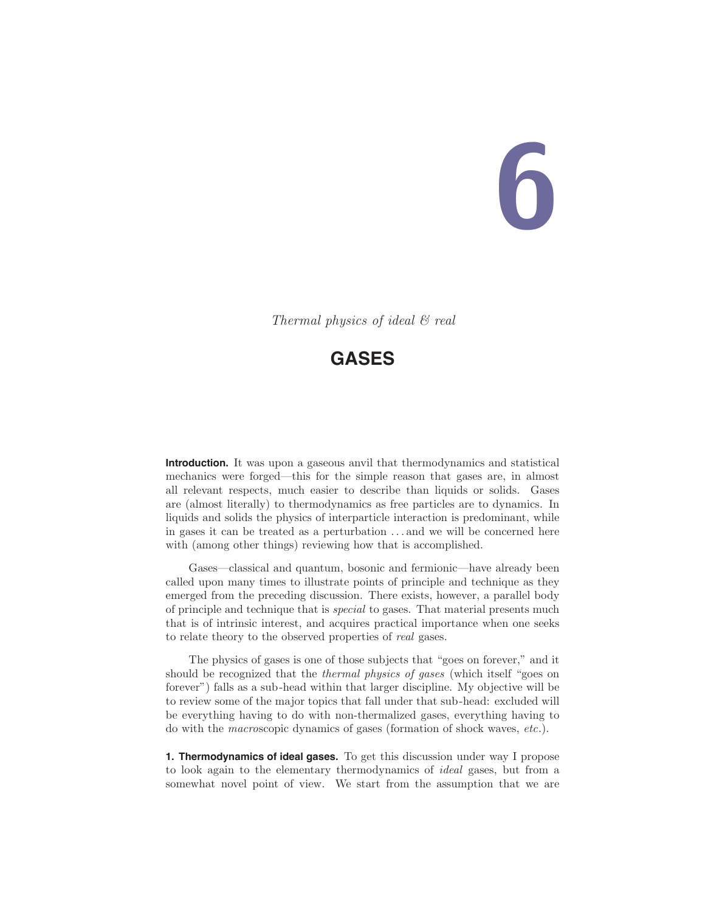# 6

Thermal physics of ideal & real

# **GASES**

**Introduction.** It was upon a gaseous anvil that thermodynamics and statistical mechanics were forged—this for the simple reason that gases are, in almost all relevant respects, much easier to describe than liquids or solids. Gases are (almost literally) to thermodynamics as free particles are to dynamics. In liquids and solids the physics of interparticle interaction is predominant, while in gases it can be treated as a perturbation . . . and we will be concerned here with (among other things) reviewing how that is accomplished.

Gases—classical and quantum, bosonic and fermionic—have already been called upon many times to illustrate points of principle and technique as they emerged from the preceding discussion. There exists, however, a parallel body of principle and technique that is special to gases. That material presents much that is of intrinsic interest, and acquires practical importance when one seeks to relate theory to the observed properties of real gases.

The physics of gases is one of those subjects that "goes on forever," and it should be recognized that the thermal physics of gases (which itself "goes on forever") falls as a sub-head within that larger discipline. My objective will be to review some of the major topics that fall under that sub-head: excluded will be everything having to do with non-thermalized gases, everything having to do with the macroscopic dynamics of gases (formation of shock waves, etc.).

**1. Thermodynamics of ideal gases.** To get this discussion under way I propose to look again to the elementary thermodynamics of ideal gases, but from a somewhat novel point of view. We start from the assumption that we are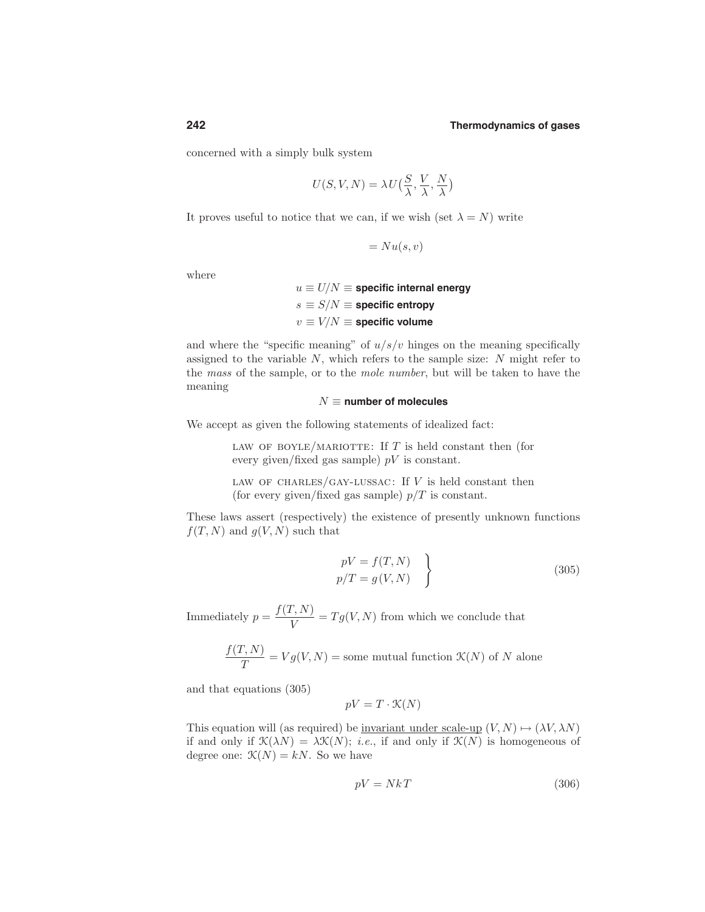concerned with a simply bulk system

$$
U(S, V, N) = \lambda U\left(\frac{S}{\lambda}, \frac{V}{\lambda}, \frac{N}{\lambda}\right)
$$

It proves useful to notice that we can, if we wish (set  $\lambda = N$ ) write

$$
= Nu(s,v)
$$

where

 $u \equiv U/N \equiv$  specific internal energy  $s \equiv S/N \equiv$  **specific entropy**  $v \equiv V/N \equiv$  specific volume

and where the "specific meaning" of  $u/s/v$  hinges on the meaning specifically assigned to the variable  $N$ , which refers to the sample size:  $N$  might refer to the mass of the sample, or to the mole number, but will be taken to have the meaning

### $N \equiv$  **number** of molecules

We accept as given the following statements of idealized fact:

LAW OF BOYLE/MARIOTTE: If  $T$  is held constant then (for every given/fixed gas sample)  $pV$  is constant.

LAW OF CHARLES/GAY-LUSSAC: If  $V$  is held constant then (for every given/fixed gas sample)  $p/T$  is constant.

These laws assert (respectively) the existence of presently unknown functions  $f(T, N)$  and  $g(V, N)$  such that

$$
pV = f(T, N)
$$
  

$$
p/T = g(V, N)
$$
 (305)

Immediately  $p = \frac{f(T, N)}{V} = Tg(V, N)$  from which we conclude that

$$
\frac{f(T, N)}{T} = Vg(V, N) = \text{some mutual function } \mathcal{K}(N) \text{ of } N \text{ alone}
$$

and that equations (305)

$$
pV = T \cdot \mathcal{K}(N)
$$

This equation will (as required) be <u>invariant under scale-up</u>  $(V, N) \mapsto (\lambda V, \lambda N)$ if and only if  $\mathcal{K}(\lambda N) = \lambda \mathcal{K}(N)$ ; *i.e.*, if and only if  $\mathcal{K}(N)$  is homogeneous of degree one:  $\mathcal{K}(N) = kN$ . So we have

$$
pV = NkT \tag{306}
$$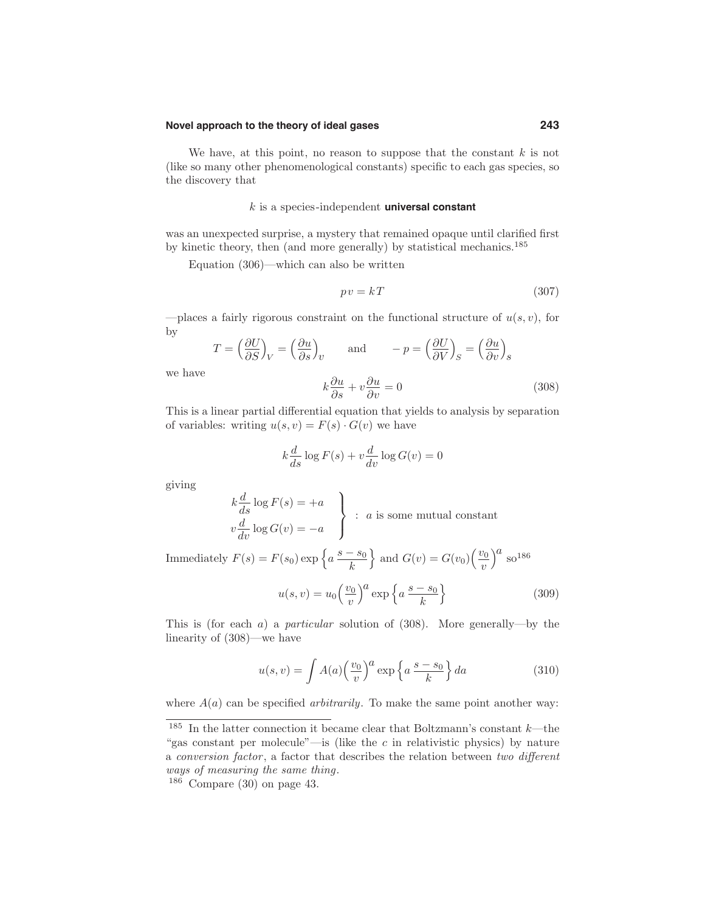### **Novel approach to the theory of ideal gases 243**

We have, at this point, no reason to suppose that the constant  $k$  is not (like so many other phenomenological constants) specific to each gas species, so the discovery that

## k is a species-independent **universal constant**

was an unexpected surprise, a mystery that remained opaque until clarified first by kinetic theory, then (and more generally) by statistical mechanics.<sup>185</sup>

Equation (306)—which can also be written

$$
pv = kT \tag{307}
$$

—places a fairly rigorous constraint on the functional structure of  $u(s, v)$ , for by

$$
T = \left(\frac{\partial U}{\partial S}\right)_V = \left(\frac{\partial u}{\partial S}\right)_U \quad \text{and} \quad -p = \left(\frac{\partial U}{\partial V}\right)_S = \left(\frac{\partial u}{\partial v}\right)_S
$$

we have

$$
k\frac{\partial u}{\partial s} + v\frac{\partial u}{\partial v} = 0\tag{308}
$$

This is a linear partial differential equation that yields to analysis by separation of variables: writing  $u(s, v) = F(s) \cdot G(v)$  we have

$$
k\frac{d}{ds}\log F(s) + v\frac{d}{dv}\log G(v) = 0
$$

giving

$$
k \frac{d}{ds} \log F(s) = +a
$$
  

$$
v \frac{d}{dv} \log G(v) = -a
$$
 : a is some mutual constant

Immediately  $F(s) = F(s_0) \exp \left\{ a \frac{s - s_0}{l} \right\}$ k } and  $G(v) = G(v_0) \left(\frac{v_0}{v_0}\right)$  $\overline{v}$  $\big)^a$  so<sup>186</sup>

$$
u(s,v) = u_0 \left(\frac{v_0}{v}\right)^a \exp\left\{a \, \frac{s-s_0}{k}\right\} \tag{309}
$$

This is (for each a) a *particular* solution of  $(308)$ . More generally—by the linearity of (308)—we have

$$
u(s,v) = \int A(a) \left(\frac{v_0}{v}\right)^a \exp\left\{a \frac{s-s_0}{k}\right\} da \tag{310}
$$

where  $A(a)$  can be specified *arbitrarily*. To make the same point another way:

 $^{185}\,$  In the latter connection it became clear that Boltzmann's constant  $k$ —the "gas constant per molecule"—is (like the  $c$  in relativistic physics) by nature a conversion factor , a factor that describes the relation between two different ways of measuring the same thing.

 $186$  Compare (30) on page 43.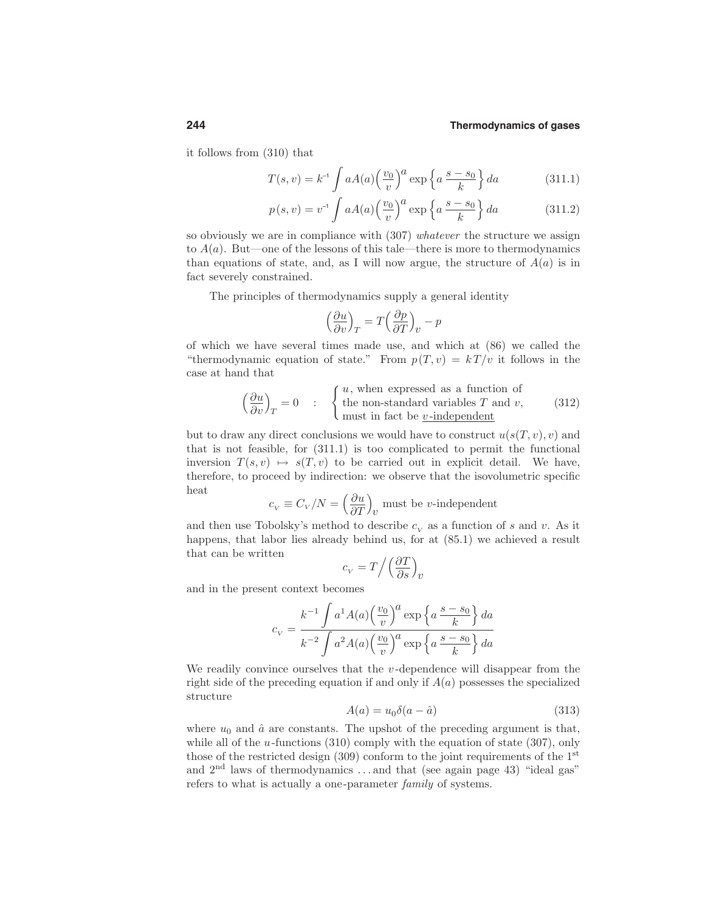it follows from (310) that

$$
T(s,v) = k^{-1} \int aA(a) \left(\frac{v_0}{v}\right)^a \exp\left\{a \frac{s-s_0}{k}\right\} da \tag{311.1}
$$

$$
p(s,v) = v^{-1} \int aA(a) \left(\frac{v_0}{v}\right)^a \exp\left\{a \frac{s-s_0}{k}\right\} da \tag{311.2}
$$

so obviously we are in compliance with  $(307)$  whatever the structure we assign to  $A(a)$ . But—one of the lessons of this tale—there is more to thermodynamics than equations of state, and, as I will now argue, the structure of  $A(a)$  is in fact severely constrained.

The principles of thermodynamics supply a general identity

$$
\left(\frac{\partial u}{\partial v}\right)_T = T\left(\frac{\partial p}{\partial T}\right)_v - p
$$

of which we have several times made use, and which at (86) we called the "thermodynamic equation of state." From  $p(T, v) = kT/v$  it follows in the case at hand that

$$
\left(\frac{\partial u}{\partial v}\right)_T = 0 \qquad ; \qquad \begin{cases} u, \text{ when expressed as a function of} \\ \text{the non-standard variables } T \text{ and } v, \\ \text{must in fact be } \underline{v}\text{-independent} \end{cases} \tag{312}
$$

but to draw any direct conclusions we would have to construct  $u(s(T, v), v)$  and that is not feasible, for (311.1) is too complicated to permit the functional inversion  $T(s, v) \mapsto s(T, v)$  to be carried out in explicit detail. We have, therefore, to proceed by indirection: we observe that the isovolumetric specific heat

$$
c_V \equiv C_V/N = \left(\frac{\partial u}{\partial T}\right)_U
$$
 must be v-independent

and then use Tobolsky's method to describe  $c_v$  as a function of s and v. As it happens, that labor lies already behind us, for at (85.1) we achieved a result that can be written

$$
c_V = T / \left(\frac{\partial T}{\partial s}\right)_U
$$

and in the present context becomes

$$
c_V = \frac{k^{-1} \int a^1 A(a) \left(\frac{v_0}{v}\right)^a \exp\left\{a \frac{s - s_0}{k}\right\} da}{k^{-2} \int a^2 A(a) \left(\frac{v_0}{v}\right)^a \exp\left\{a \frac{s - s_0}{k}\right\} da}
$$

We readily convince ourselves that the  $v$ -dependence will disappear from the right side of the preceding equation if and only if  $A(a)$  possesses the specialized structure

$$
A(a) = u_0 \delta(a - \hat{a}) \tag{313}
$$

where  $u_0$  and  $\hat{a}$  are constants. The upshot of the preceding argument is that, while all of the  $u$ -functions (310) comply with the equation of state (307), only those of the restricted design  $(309)$  conform to the joint requirements of the 1<sup>st</sup> and  $2<sup>nd</sup>$  laws of thermodynamics ... and that (see again page 43) "ideal gas" refers to what is actually a one-parameter family of systems.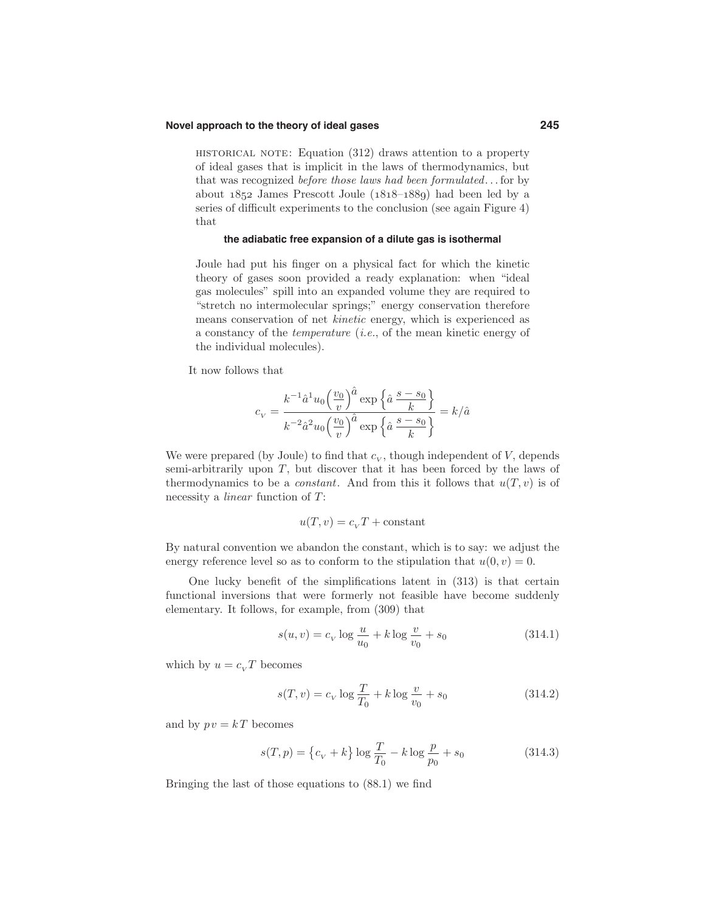### **Novel approach to the theory of ideal gases 245**

HISTORICAL NOTE: Equation  $(312)$  draws attention to a property of ideal gases that is implicit in the laws of thermodynamics, but that was recognized before those laws had been formulated. . . for by about  $1852$  James Prescott Joule  $(1818-188)$  had been led by a series of difficult experiments to the conclusion (see again Figure 4) that

### **the adiabatic free expansion of a dilute gas is isothermal**

Joule had put his finger on a physical fact for which the kinetic theory of gases soon provided a ready explanation: when "ideal gas molecules" spill into an expanded volume they are required to "stretch no intermolecular springs;" energy conservation therefore means conservation of net kinetic energy, which is experienced as a constancy of the temperature (i.e., of the mean kinetic energy of the individual molecules).

It now follows that

$$
c_V = \frac{k^{-1}\hat{a}^1u_0 \left(\frac{v_0}{v}\right)^{\hat{a}} \exp\left\{\hat{a}\,\frac{s-s_0}{k}\right\}}{k^{-2}\hat{a}^2u_0 \left(\frac{v_0}{v}\right)^{\hat{a}} \exp\left\{\hat{a}\,\frac{s-s_0}{k}\right\}} = k/\hat{a}
$$

We were prepared (by Joule) to find that  $c_V$ , though independent of V, depends semi-arbitrarily upon T, but discover that it has been forced by the laws of thermodynamics to be a *constant*. And from this it follows that  $u(T, v)$  is of necessity a linear function of T:

$$
u(T, v) = c_V T + \text{constant}
$$

By natural convention we abandon the constant, which is to say: we adjust the energy reference level so as to conform to the stipulation that  $u(0, v) = 0$ .

One lucky benefit of the simplifications latent in (313) is that certain functional inversions that were formerly not feasible have become suddenly elementary. It follows, for example, from (309) that

$$
s(u, v) = c_V \log \frac{u}{u_0} + k \log \frac{v}{v_0} + s_0
$$
 (314.1)

which by  $u = c_v T$  becomes

$$
s(T, v) = c_V \log \frac{T}{T_0} + k \log \frac{v}{v_0} + s_0
$$
 (314.2)

and by  $pv = kT$  becomes

$$
s(T, p) = \left\{c_V + k\right\} \log \frac{T}{T_0} - k \log \frac{p}{p_0} + s_0 \tag{314.3}
$$

Bringing the last of those equations to (88.1) we find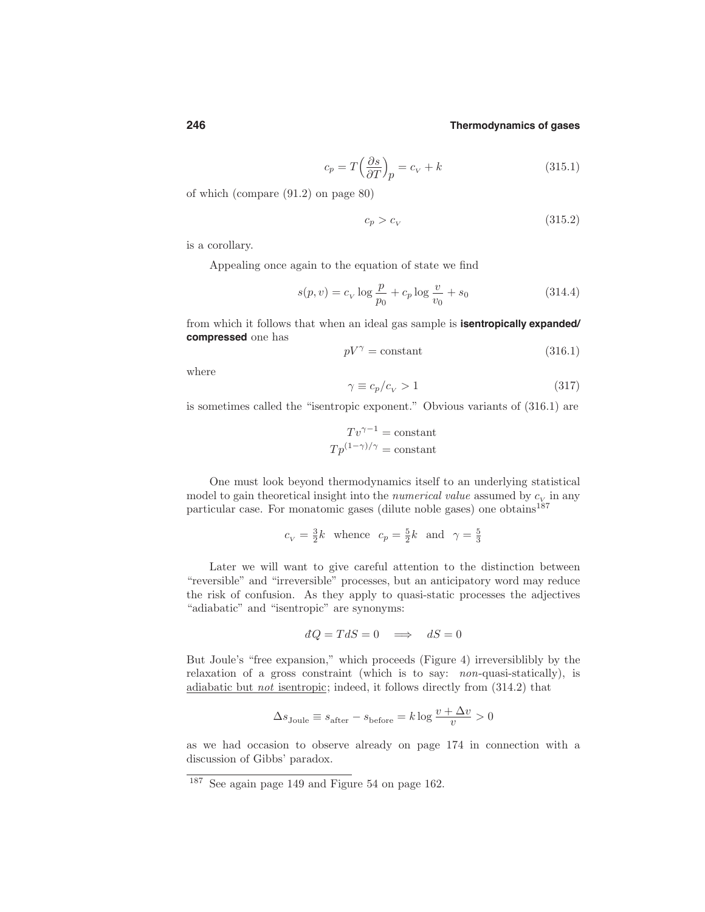$$
c_p = T \left(\frac{\partial s}{\partial T}\right)_p = c_V + k \tag{315.1}
$$

of which (compare (91.2) on page 80)

$$
c_p > c_V \tag{315.2}
$$

is a corollary.

Appealing once again to the equation of state we find

$$
s(p, v) = c_V \log \frac{p}{p_0} + c_p \log \frac{v}{v_0} + s_0
$$
 (314.4)

from which it follows that when an ideal gas sample is **isentropically expanded/ compressed** one has

$$
pV^{\gamma} = \text{constant} \tag{316.1}
$$

where

$$
\gamma \equiv c_p/c_v > 1\tag{317}
$$

is sometimes called the "isentropic exponent." Obvious variants of (316.1) are

$$
Tv^{\gamma - 1} = \text{constant}
$$

$$
Tp^{(1 - \gamma)/\gamma} = \text{constant}
$$

One must look beyond thermodynamics itself to an underlying statistical model to gain theoretical insight into the *numerical value* assumed by  $c_v$  in any particular case. For monatomic gases (dilute noble gases) one obtains $187$ 

$$
c_V = \frac{3}{2}k
$$
 whence  $c_p = \frac{5}{2}k$  and  $\gamma = \frac{5}{3}$ 

Later we will want to give careful attention to the distinction between "reversible" and "irreversible" processes, but an anticipatory word may reduce the risk of confusion. As they apply to quasi-static processes the adjectives "adiabatic" and "isentropic" are synonyms:

$$
dQ = TdS = 0 \implies dS = 0
$$

But Joule's "free expansion," which proceeds (Figure 4) irreversiblibly by the relaxation of a gross constraint (which is to say: non-quasi-statically), is adiabatic but not isentropic; indeed, it follows directly from (314.2) that

$$
\Delta s_{\text{Joule}} \equiv s_{\text{after}} - s_{\text{before}} = k \log \frac{v + \Delta v}{v} > 0
$$

as we had occasion to observe already on page 174 in connection with a discussion of Gibbs' paradox.

<sup>187</sup> See again page 149 and Figure 54 on page 162.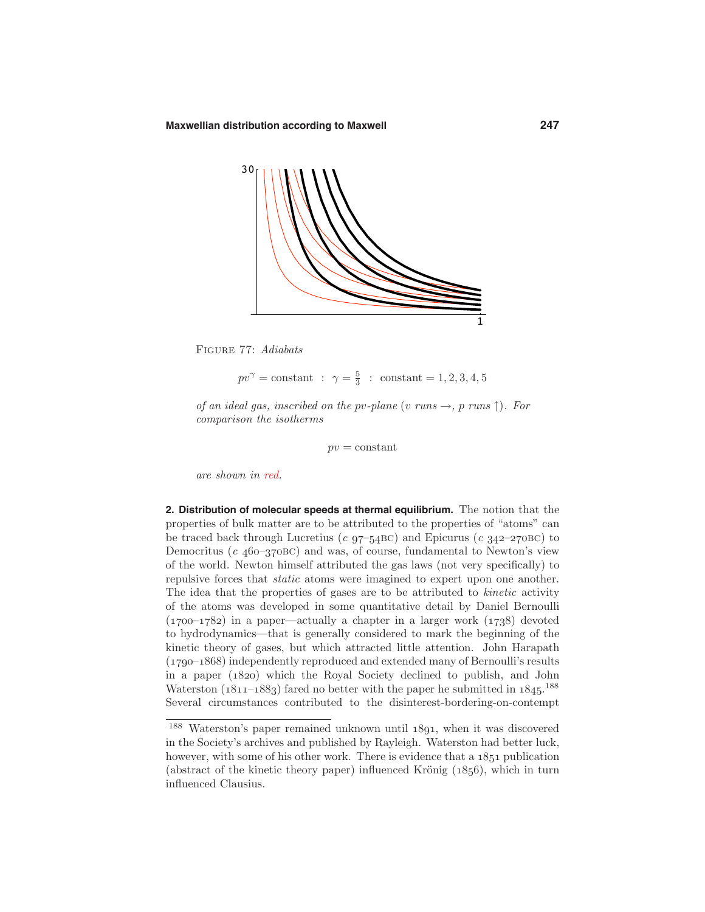

Figure 77: Adiabats

$$
pv^{\gamma} = \text{constant} : \gamma = \frac{5}{3} : \text{constant} = 1, 2, 3, 4, 5
$$

of an ideal gas, inscribed on the pv-plane (v runs  $\rightarrow$ , p runs  $\uparrow$ ). For comparison the isotherms

 $pv = constant$ 

are shown in red.

**2. Distribution of molecular speeds at thermal equilibrium.** The notion that the properties of bulk matter are to be attributed to the properties of "atoms" can be traced back through Lucretius (c  $97-54BC$ ) and Epicurus (c  $342-270BC$ ) to Democritus ( $c$  460-370BC) and was, of course, fundamental to Newton's view of the world. Newton himself attributed the gas laws (not very specifically) to repulsive forces that static atoms were imagined to expert upon one another. The idea that the properties of gases are to be attributed to *kinetic* activity of the atoms was developed in some quantitative detail by Daniel Bernoulli  $(1700-1782)$  in a paper—actually a chapter in a larger work  $(1738)$  devoted to hydrodynamics—that is generally considered to mark the beginning of the kinetic theory of gases, but which attracted little attention. John Harapath  $(1790-1868)$  independently reproduced and extended many of Bernoulli's results in a paper (1820) which the Royal Society declined to publish, and John Waterston  $(1811-1883)$  fared no better with the paper he submitted in  $1845$ .<sup>188</sup> Several circumstances contributed to the disinterest-bordering-on-contempt

 $188$  Waterston's paper remained unknown until  $1891$ , when it was discovered in the Society's archives and published by Rayleigh. Waterston had better luck, however, with some of his other work. There is evidence that a  $1851$  publication (abstract of the kinetic theory paper) influenced Krönig  $(1856)$ , which in turn influenced Clausius.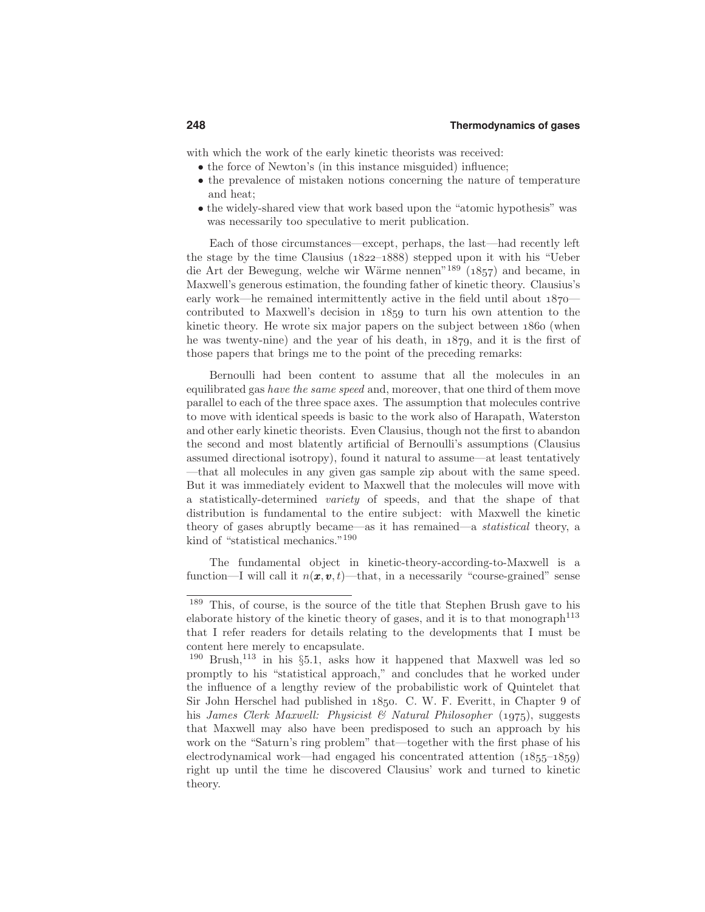with which the work of the early kinetic theorists was received:

- the force of Newton's (in this instance misguided) influence;
- the prevalence of mistaken notions concerning the nature of temperature and heat;
- the widely-shared view that work based upon the "atomic hypothesis" was was necessarily too speculative to merit publication.

Each of those circumstances—except, perhaps, the last—had recently left the stage by the time Clausius  $(1822-1888)$  stepped upon it with his "Ueber die Art der Bewegung, welche wir Wärme nennen"<sup>189</sup> (1857) and became, in Maxwell's generous estimation, the founding father of kinetic theory. Clausius's early work—he remained intermittently active in the field until about  $1870$ contributed to Maxwell's decision in  $1859$  to turn his own attention to the kinetic theory. He wrote six major papers on the subject between 1860 (when he was twenty-nine) and the year of his death, in  $1879$ , and it is the first of those papers that brings me to the point of the preceding remarks:

Bernoulli had been content to assume that all the molecules in an equilibrated gas have the same speed and, moreover, that one third of them move parallel to each of the three space axes. The assumption that molecules contrive to move with identical speeds is basic to the work also of Harapath, Waterston and other early kinetic theorists. Even Clausius, though not the first to abandon the second and most blatently artificial of Bernoulli's assumptions (Clausius assumed directional isotropy), found it natural to assume—at least tentatively —that all molecules in any given gas sample zip about with the same speed. But it was immediately evident to Maxwell that the molecules will move with a statistically-determined variety of speeds, and that the shape of that distribution is fundamental to the entire subject: with Maxwell the kinetic theory of gases abruptly became—as it has remained—a statistical theory, a kind of "statistical mechanics."<sup>190</sup>

The fundamental object in kinetic-theory-according-to-Maxwell is a function—I will call it  $n(x, v, t)$ —that, in a necessarily "course-grained" sense

<sup>189</sup> This, of course, is the source of the title that Stephen Brush gave to his elaborate history of the kinetic theory of gases, and it is to that monograph<sup>113</sup> that I refer readers for details relating to the developments that I must be content here merely to encapsulate.

 $190$  Brush,  $113$  in his §5.1, asks how it happened that Maxwell was led so promptly to his "statistical approach," and concludes that he worked under the influence of a lengthy review of the probabilistic work of Quintelet that Sir John Herschel had published in 1850. C. W. F. Everitt, in Chapter 9 of his James Clerk Maxwell: Physicist & Natural Philosopher (1975), suggests that Maxwell may also have been predisposed to such an approach by his work on the "Saturn's ring problem" that—together with the first phase of his electrodynamical work—had engaged his concentrated attention  $(1855-1859)$ right up until the time he discovered Clausius' work and turned to kinetic theory.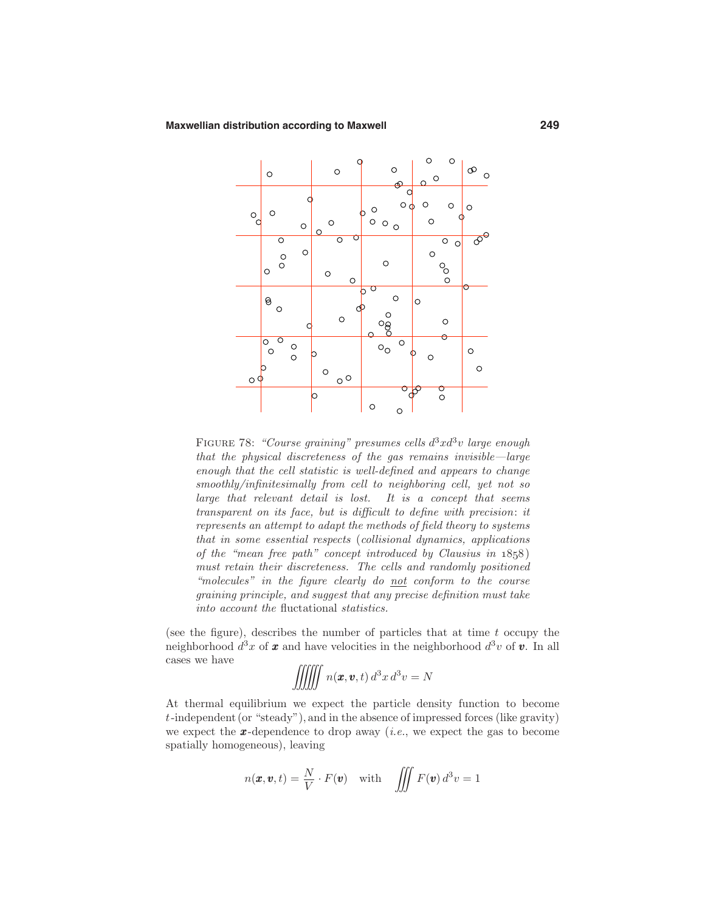

FIGURE 78: "Course graining" presumes cells  $d^3x d^3v$  large enough that the physical discreteness of the gas remains invisible—large enough that the cell statistic is well-defined and appears to change smoothly/infinitesimally from cell to neighboring cell, yet not so large that relevant detail is lost. It is a concept that seems transparent on its face, but is difficult to define with precision: it represents an attempt to adapt the methods of field theory to systems that in some essential respects (collisional dynamics, applications of the "mean free path" concept introduced by Clausius in  $1858$ ) must retain their discreteness. The cells and randomly positioned "molecules" in the figure clearly do  $not$  conform to the course graining principle, and suggest that any precise definition must take into account the fluctational statistics.

(see the figure), describes the number of particles that at time  $t$  occupy the neighborhood  $d^3x$  of **x** and have velocities in the neighborhood  $d^3v$  of **v**. In all cases we have

$$
\iiint n(\boldsymbol{x}, \boldsymbol{v}, t) d^3x d^3v = N
$$

At thermal equilibrium we expect the particle density function to become  $t$ -independent (or "steady"), and in the absence of impressed forces (like gravity) we expect the  $x$ -dependence to drop away *(i.e.,* we expect the gas to become spatially homogeneous), leaving

$$
n(\pmb{x}, \pmb{v}, t) = \frac{N}{V} \cdot F(\pmb{v}) \quad \text{with} \quad \iiint F(\pmb{v}) d^3v = 1
$$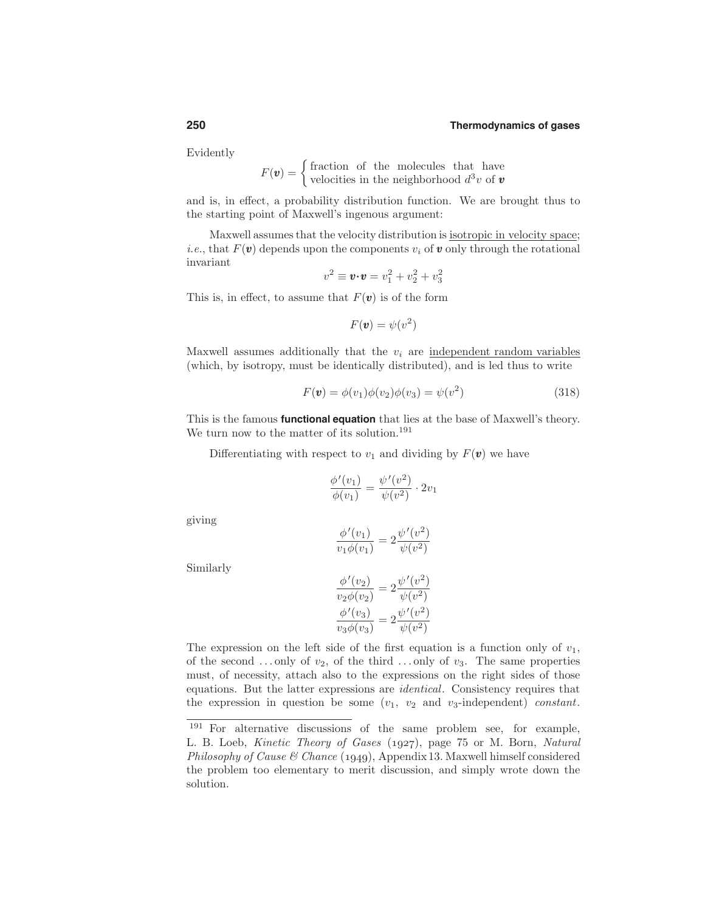Evidently

$$
F(\mathbf{v}) = \begin{cases} \text{fraction of the molecules that have} \\ \text{velocities in the neighborhood } d^3v \text{ of } \mathbf{v} \end{cases}
$$

and is, in effect, a probability distribution function. We are brought thus to the starting point of Maxwell's ingenous argument:

Maxwell assumesthat the velocity distribution is isotropic in velocity space; *i.e.*, that  $F(\mathbf{v})$  depends upon the components  $v_i$  of **v** only through the rotational invariant

$$
v^2 \equiv \mathbf{v} \cdot \mathbf{v} = v_1^2 + v_2^2 + v_3^2
$$

This is, in effect, to assume that  $F(\mathbf{v})$  is of the form

$$
F(\mathbf{v}) = \psi(v^2)
$$

Maxwell assumes additionally that the  $v_i$  are independent random variables (which, by isotropy, must be identically distributed), and is led thus to write

$$
F(\mathbf{v}) = \phi(v_1)\phi(v_2)\phi(v_3) = \psi(v^2)
$$
\n(318)

This is the famous **functional equation** that lies at the base of Maxwell's theory. We turn now to the matter of its solution.<sup>191</sup>

Differentiating with respect to  $v_1$  and dividing by  $F(\mathbf{v})$  we have

$$
\frac{\phi'(v_1)}{\phi(v_1)} = \frac{\psi'(v^2)}{\psi(v^2)} \cdot 2v_1
$$

giving

$$
\frac{\phi'(v_1)}{v_1\phi(v_1)} = 2\frac{\psi'(v^2)}{\psi(v^2)}
$$

Similarly

$$
\frac{\phi'(v_2)}{v_2 \phi(v_2)} = 2 \frac{\psi'(v^2)}{\psi(v^2)}
$$

$$
\frac{\phi'(v_3)}{v_3 \phi(v_3)} = 2 \frac{\psi'(v^2)}{\psi(v^2)}
$$

The expression on the left side of the first equation is a function only of  $v_1$ , of the second ... only of  $v_2$ , of the third ... only of  $v_3$ . The same properties must, of necessity, attach also to the expressions on the right sides of those equations. But the latter expressions are identical. Consistency requires that the expression in question be some  $(v_1, v_2 \text{ and } v_3\text{-independent})$  constant.

<sup>191</sup> For alternative discussions of the same problem see, for example, L. B. Loeb, *Kinetic Theory of Gases* (1927), page 75 or M. Born, *Natural* Philosophy of Cause & Chance (1949), Appendix 13. Maxwell himself considered the problem too elementary to merit discussion, and simply wrote down the solution.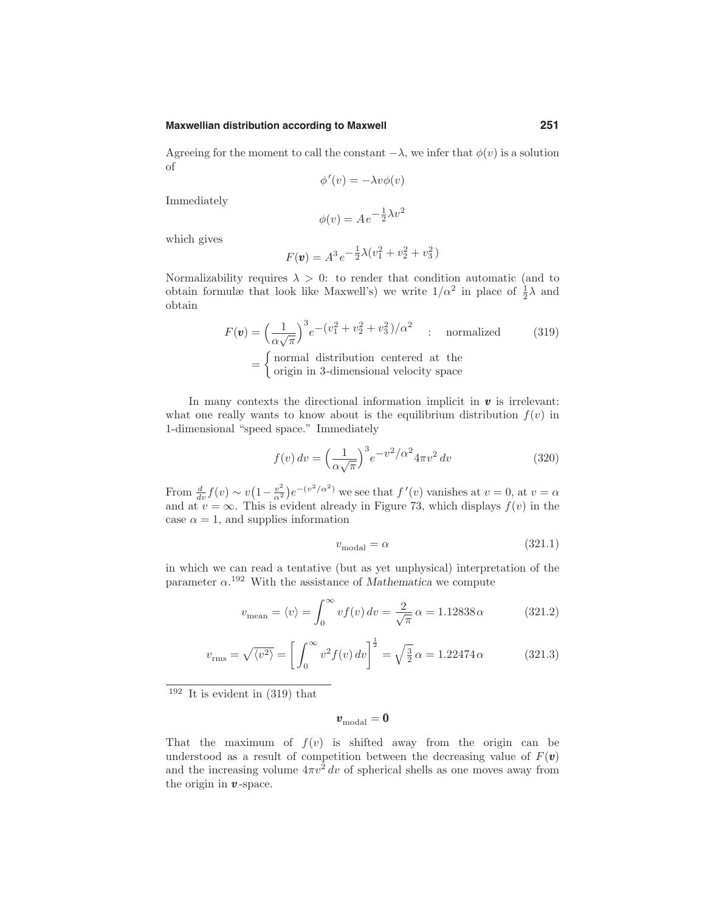### **Maxwellian distribution according to Maxwell 251**

Agreeing for the moment to call the constant  $-\lambda$ , we infer that  $\phi(v)$  is a solution of

$$
\phi'(v) = -\lambda v \phi(v)
$$

Immediately

$$
\phi(v) = Ae^{-\frac{1}{2}\lambda v^2}
$$

which gives

$$
F(\mathbf{v}) = A^3 e^{-\frac{1}{2}\lambda (v_1^2 + v_2^2 + v_3^2)}
$$

Normalizability requires  $\lambda > 0$ : to render that condition automatic (and to obtain formulæ that look like Maxwell's) we write  $1/\alpha^2$  in place of  $\frac{1}{2}\lambda$  and obtain

$$
F(\mathbf{v}) = \left(\frac{1}{\alpha\sqrt{\pi}}\right)^3 e^{-\left(v_1^2 + v_2^2 + v_3^2\right)/\alpha^2}
$$
: normalized  
= { normal distribution centered at the  
initial is 3-dimensional velocity.

origin in 3-dimensional velocity space

In many contexts the directional information implicit in  $\boldsymbol{v}$  is irrelevant: what one really wants to know about is the equilibrium distribution  $f(v)$  in 1-dimensional "speed space." Immediately

$$
f(v) dv = \left(\frac{1}{\alpha\sqrt{\pi}}\right)^3 e^{-v^2/\alpha^2} 4\pi v^2 dv
$$
 (320)

From  $\frac{d}{dv} f(v) \sim v(1 - \frac{v^2}{\alpha^2})e^{-(v^2/\alpha^2)}$  we see that  $f'(v)$  vanishes at  $v = 0$ , at  $v = \alpha$ and at  $v = \infty$ . This is evident already in Figure 73, which displays  $f(v)$  in the case  $\alpha = 1$ , and supplies information

$$
v_{\text{modal}} = \alpha \tag{321.1}
$$

in which we can read a tentative (but as yet unphysical) interpretation of the parameter  $\alpha$ <sup>192</sup> With the assistance of Mathematica we compute

$$
v_{\text{mean}} = \langle v \rangle = \int_0^\infty v f(v) \, dv = \frac{2}{\sqrt{\pi}} \, \alpha = 1.12838 \, \alpha \tag{321.2}
$$

$$
v_{\rm rms} = \sqrt{\langle v^2 \rangle} = \left[ \int_0^\infty v^2 f(v) \, dv \right]^{\frac{1}{2}} = \sqrt{\frac{3}{2}} \, \alpha = 1.22474 \, \alpha \tag{321.3}
$$

 $192$  It is evident in (319) that

$$
\pmb{v}_\mathrm{modal} = \pmb{0}
$$

That the maximum of  $f(v)$  is shifted away from the origin can be understood as a result of competition between the decreasing value of  $F(\mathbf{v})$ and the increasing volume  $4\pi v^2 dv$  of spherical shells as one moves away from the origin in  $v$ -space.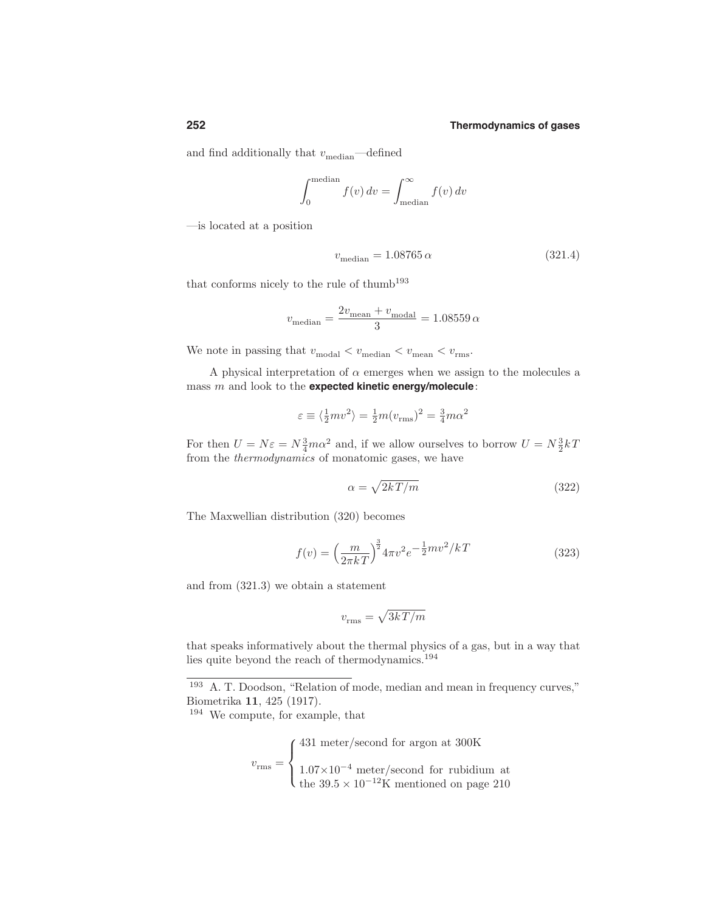and find additionally that  $v_{\text{median}}$ —defined

$$
\int_0^{\text{median}} f(v) dv = \int_{\text{median}}^{\infty} f(v) dv
$$

—is located at a position

$$
v_{\text{median}} = 1.08765 \,\alpha \tag{321.4}
$$

that conforms nicely to the rule of thumb<sup>193</sup>

$$
v_{\text{median}} = \frac{2v_{\text{mean}} + v_{\text{modal}}}{3} = 1.08559 \,\alpha
$$

We note in passing that  $v_{\rm{modal}} < v_{\rm{median}} < v_{\rm{mean}} < v_{\rm{rms}}.$ 

A physical interpretation of  $\alpha$  emerges when we assign to the molecules a mass m and look to the **expected kinetic energy/molecule**:

$$
\varepsilon \equiv \langle \frac{1}{2}mv^2 \rangle = \frac{1}{2}m(v_{\text{rms}})^2 = \frac{3}{4}m\alpha^2
$$

For then  $U = N\varepsilon = N\frac{3}{4}m\alpha^2$  and, if we allow ourselves to borrow  $U = N\frac{3}{2}kT$ from the thermodynamics of monatomic gases, we have

$$
\alpha = \sqrt{2kT/m} \tag{322}
$$

The Maxwellian distribution (320) becomes

$$
f(v) = \left(\frac{m}{2\pi kT}\right)^{\frac{3}{2}} 4\pi v^2 e^{-\frac{1}{2}mv^2/kT}
$$
\n(323)

and from (321.3) we obtain a statement

$$
v_{\rm rms} = \sqrt{3kT/m}
$$

that speaks informatively about the thermal physics of a gas, but in a way that lies quite beyond the reach of thermodynamics.<sup>194</sup>

$$
v_{\rm rms} = \left\{ \begin{array}{l} 431 \text{ meter/second for argon at } 300 \text{K} \\ \\ 1.07 \times 10^{-4} \text{ meter/second for rubidium at} \\ \text{the } 39.5 \times 10^{-12} \text{K mentioned on page } 210 \end{array} \right.
$$

<sup>193</sup> A. T. Doodson, "Relation of mode, median and mean in frequency curves," Biometrika 11, 425 (1917).

<sup>194</sup> We compute, for example, that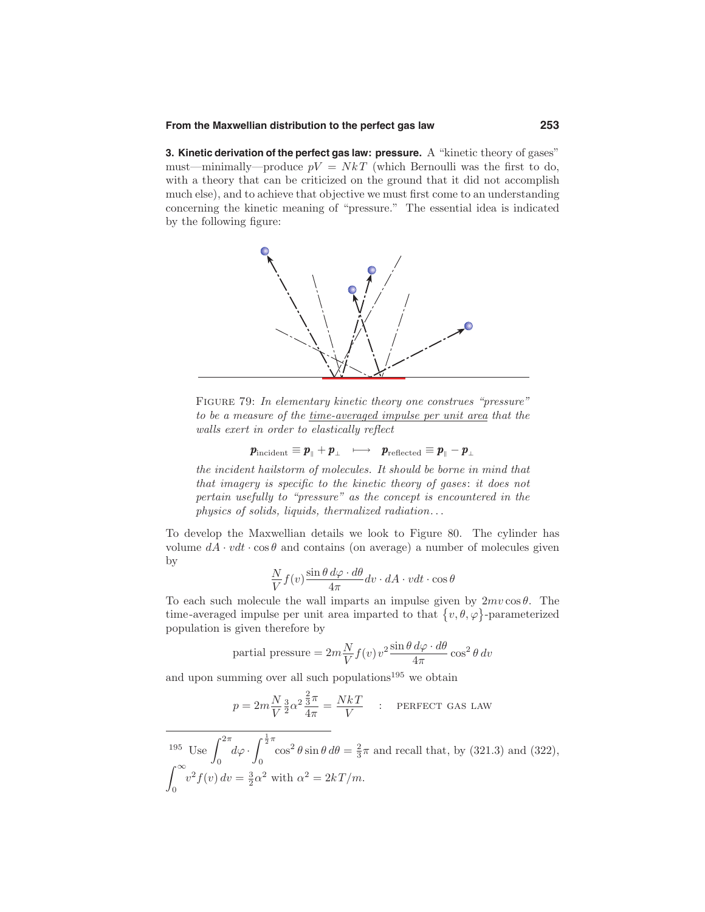### **From the Maxwellian distribution to the perfect gas law 253**

**3. Kinetic derivation of the perfect gas law: pressure.** A "kinetic theory of gases" must—minimally—produce  $pV = NkT$  (which Bernoulli was the first to do, with a theory that can be criticized on the ground that it did not accomplish much else), and to achieve that objective we must first come to an understanding concerning the kinetic meaning of "pressure." The essential idea is indicated by the following figure:



Figure 79: In elementary kinetic theory one construes "pressure" to be a measure of the time-averaged impulse per unit area that the walls exert in order to elastically reflect

$$
\pmb{p}_\mathrm{incident} \equiv \pmb{p}_\parallel + \pmb{p}_\perp \ \ \, \longmapsto \ \ \, \pmb{p}_\mathrm{reflected} \equiv \pmb{p}_\parallel - \pmb{p}_\perp
$$

the incident hailstorm of molecules. It should be borne in mind that that imagery is specific to the kinetic theory of gases: it does not pertain usefully to "pressure" as the concept is encountered in the physics of solids, liquids, thermalized radiation. . .

To develop the Maxwellian details we look to Figure 80. The cylinder has volume  $dA \cdot vdt \cdot \cos\theta$  and contains (on average) a number of molecules given by

$$
\frac{N}{V}f(v)\frac{\sin\theta\,d\varphi\cdot d\theta}{4\pi}dv\cdot dA\cdot vdt\cdot\cos\theta
$$

To each such molecule the wall imparts an impulse given by  $2mv\cos\theta$ . The time-averaged impulse per unit area imparted to that  $\{v, \theta, \varphi\}$ -parameterized population is given therefore by

partial pressure = 
$$
2m\frac{N}{V}f(v)v^2 \frac{\sin \theta \, d\varphi \cdot d\theta}{4\pi} \cos^2 \theta \, dv
$$

and upon summing over all such populations<sup>195</sup> we obtain

$$
p = 2m\frac{N}{V}\frac{3}{2}\alpha^2\frac{\frac{2}{3}\pi}{4\pi} = \frac{NkT}{V} \quad : \quad \text{Perfect gas law}
$$

<sup>195</sup> Use  $\int_{0}^{2\pi} d\varphi$ .  $\int_{-\infty}^{\infty} \frac{J_0}{2\pi} \frac{J_0}{2\pi}$  $\int_{0}^{\frac{1}{2}\pi} \cos^2 \theta \sin \theta \, d\theta = \frac{2}{3}\pi$  and recall that, by (321.3) and (322), 0  $v^2 f(v) dv = \frac{3}{2} \alpha^2$  with  $\alpha^2 = 2kT/m$ .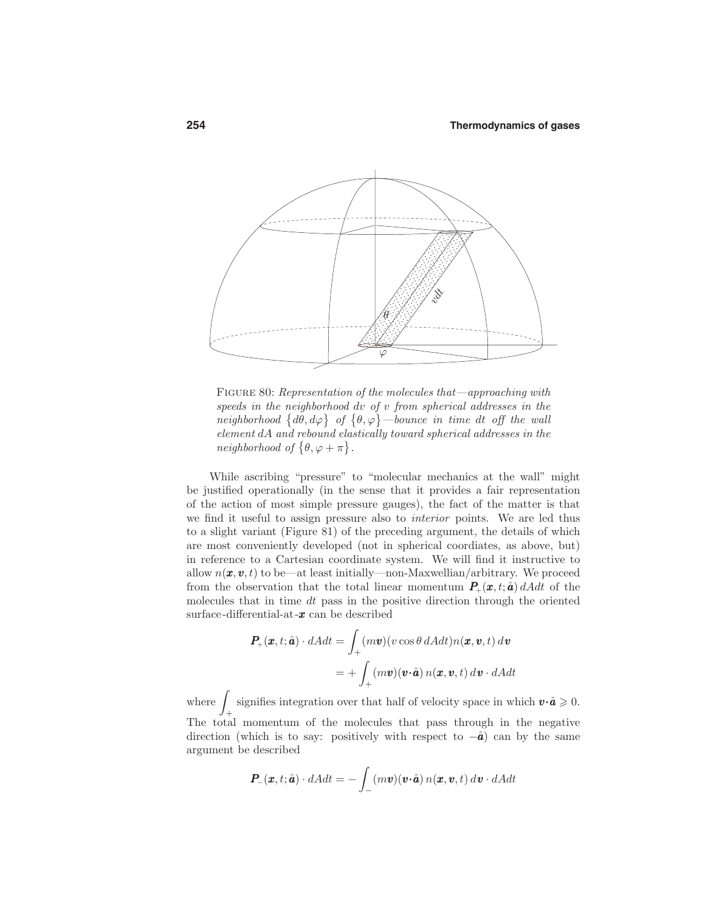

FIGURE 80: Representation of the molecules that—approaching with speeds in the neighborhood dv of v from spherical addresses in the neighborhood  $\{d\theta, d\varphi\}$  of  $\{\theta, \varphi\}$  -bounce in time dt off the wall element dA and rebound elastically toward spherical addresses in the neighborhood of  $\{\theta, \varphi + \pi\}.$ 

While ascribing "pressure" to "molecular mechanics at the wall" might be justified operationally (in the sense that it provides a fair representation of the action of most simple pressure gauges), the fact of the matter is that we find it useful to assign pressure also to interior points. We are led thus to a slight variant (Figure 81) of the preceding argument, the details of which are most conveniently developed (not in spherical coordiates, as above, but) in reference to a Cartesian coordinate system. We will find it instructive to allow  $n(\mathbf{x}, \mathbf{v}, t)$  to be—at least initially—non-Maxwellian/arbitrary. We proceed from the observation that the total linear momentum  $P_+(\pmb{x},t;\hat{\pmb{a}}) dA dt$  of the molecules that in time  $dt$  pass in the positive direction through the oriented surface-differential-at- $x$  can be described

$$
P_{+}(x,t;\hat{a}) \cdot dAdt = \int_{+}^{} (m\mathbf{v})(v\cos\theta \, dAdt)n(\mathbf{x},\mathbf{v},t) \, d\mathbf{v}
$$

$$
= + \int_{+}^{} (m\mathbf{v})(\mathbf{v}\cdot\hat{\mathbf{a}}) n(\mathbf{x},\mathbf{v},t) \, d\mathbf{v} \cdot dAdt
$$

where  $\int$  signifies integration over the signifies integration over that half of velocity space in which  $\mathbf{v} \cdot \hat{\mathbf{a}} \geq 0$ . The total momentum of the molecules that pass through in the negative direction (which is to say: positively with respect to  $-\hat{a}$ ) can by the same argument be described

$$
\boldsymbol{P}_{-}(\boldsymbol{x},t;\hat{\boldsymbol{a}})\cdot dAdt=-\int_{-}(m\boldsymbol{v})(\boldsymbol{v}\cdot\hat{\boldsymbol{a}})\,n(\boldsymbol{x},\boldsymbol{v},t)\,d\boldsymbol{v}\cdot dAdt
$$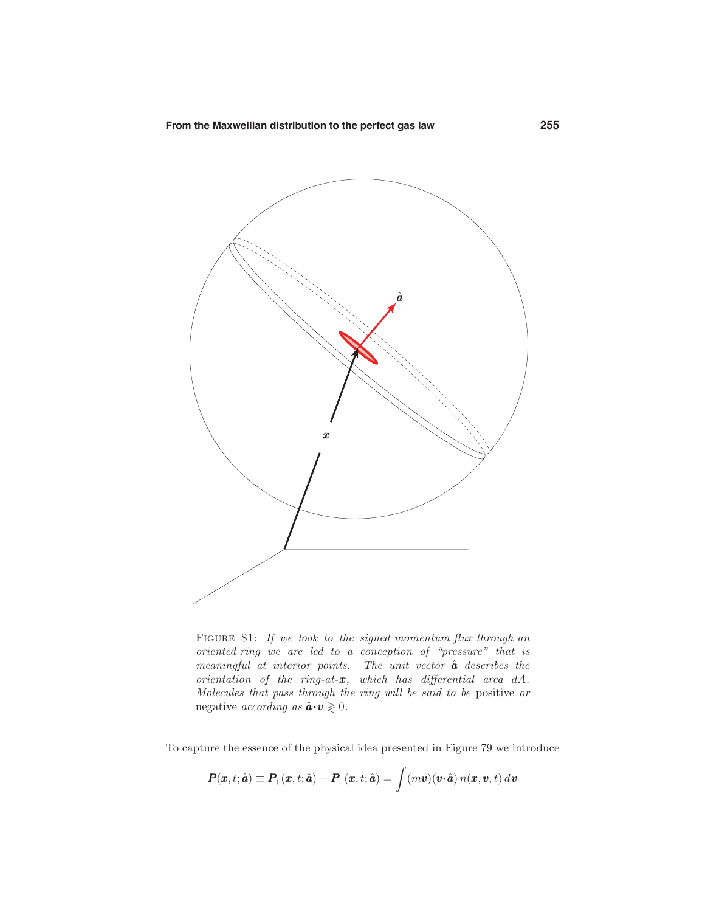

FIGURE 81: If we look to the signed momentum flux through an oriented ring we are led to a conception of "pressure" that is  $meaningful$  at interior points. The unit vector  $\hat{a}$  describes the orientation of the ring-at- $x$ , which has differential area  $dA$ . Molecules that pass through the ring will be said to be positive or negative *according* as  $\hat{\mathbf{a}} \cdot \mathbf{v} \geq 0$ .

To capture the essence of the physical idea presented in Figure 79 we introduce

$$
\boldsymbol{P}(\boldsymbol{x},t;\hat{\boldsymbol{a}})\equiv\boldsymbol{P}_{+}(\boldsymbol{x},t;\hat{\boldsymbol{a}})-\boldsymbol{P}_{-}(\boldsymbol{x},t;\hat{\boldsymbol{a}})=\int(m\boldsymbol{v})(\boldsymbol{v}\!\cdot\!\hat{\boldsymbol{a}})\,n(\boldsymbol{x},\boldsymbol{v},t)\,d\boldsymbol{v}
$$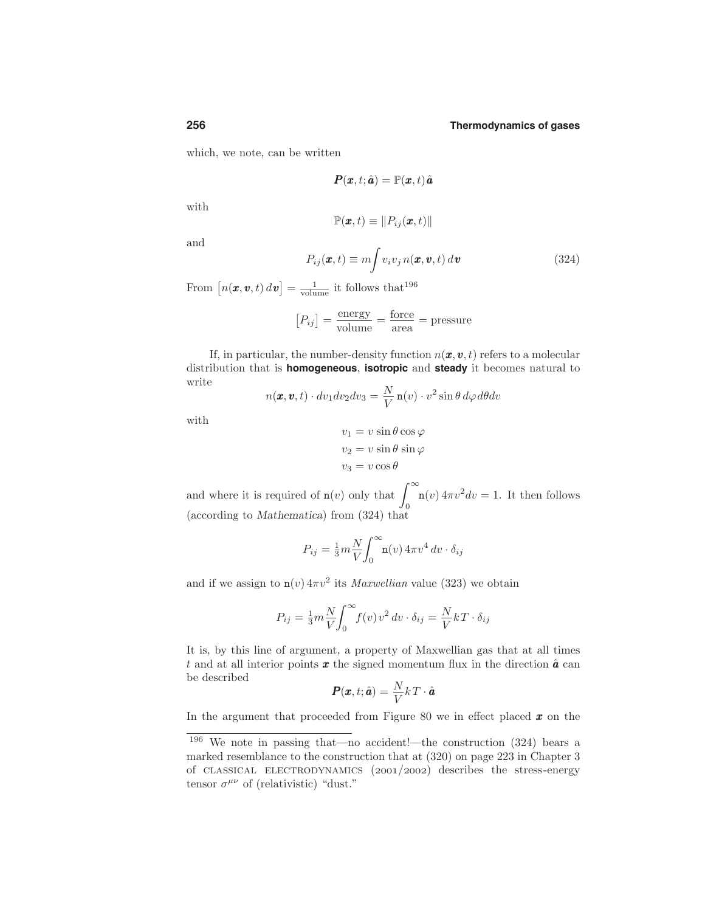which, we note, can be written

$$
\boldsymbol{P}(\boldsymbol{x},t;\hat{\boldsymbol{a}}) = \mathbb{P}(\boldsymbol{x},t)\hat{\boldsymbol{a}}
$$

with

$$
\mathbb{P}(\boldsymbol{x},t)\equiv\|P_{ij}(\boldsymbol{x},t)\|
$$

and

$$
P_{ij}(\boldsymbol{x},t) \equiv m \int v_i v_j \, n(\boldsymbol{x},\boldsymbol{v},t) \, d\boldsymbol{v}
$$
\n(324)

From  $\left[ n(\boldsymbol{x},\boldsymbol{v},t) d\boldsymbol{v} \right] = \frac{1}{\text{volume}}$  it follows that  $196$ 

$$
[P_{ij}] = \frac{\text{energy}}{\text{volume}} = \frac{\text{force}}{\text{area}} = \text{pressure}
$$

If, in particular, the number-density function  $n(\boldsymbol{x}, \boldsymbol{v}, t)$  refers to a molecular distribution that is **homogeneous**, **isotropic** and **steady** it becomes natural to write

$$
n(\boldsymbol{x}, \boldsymbol{v}, t) \cdot dv_1 dv_2 dv_3 = \frac{N}{V} \mathbf{n}(v) \cdot v^2 \sin \theta \, d\varphi \, d\theta dv
$$

with

$$
v_1 = v \sin \theta \cos \varphi
$$
  

$$
v_2 = v \sin \theta \sin \varphi
$$
  

$$
v_3 = v \cos \theta
$$

and where it is required of  $n(v)$  only that  $\int_{-\infty}^{\infty}$ 0  $n(v) 4\pi v^2 dv = 1$ . It then follows (according to Mathematica) from (324) that

$$
P_{ij} = \frac{1}{3}m\frac{N}{V}\int_0^\infty \mathbf{n}(v) 4\pi v^4 dv \cdot \delta_{ij}
$$

and if we assign to  $n(v) 4\pi v^2$  its *Maxwellian* value (323) we obtain

$$
P_{ij} = \frac{1}{3}m\frac{N}{V}\int_0^\infty f(v)v^2 dv \cdot \delta_{ij} = \frac{N}{V}kT \cdot \delta_{ij}
$$

It is, by this line of argument, a property of Maxwellian gas that at all times t and at all interior points  $x$  the signed momentum flux in the direction  $\hat{a}$  can be described

$$
\boldsymbol{P}(\boldsymbol{x},t;\hat{\boldsymbol{a}}) = \frac{N}{V}kT\cdot\hat{\boldsymbol{a}}
$$

In the argument that proceeded from Figure 80 we in effect placed  $x$  on the

<sup>196</sup> We note in passing that—no accident!—the construction (324) bears a marked resemblance to the construction that at (320) on page 223 in Chapter 3 of CLASSICAL ELECTRODYNAMICS  $(2001/2002)$  describes the stress-energy tensor  $\sigma^{\mu\nu}$  of (relativistic) "dust."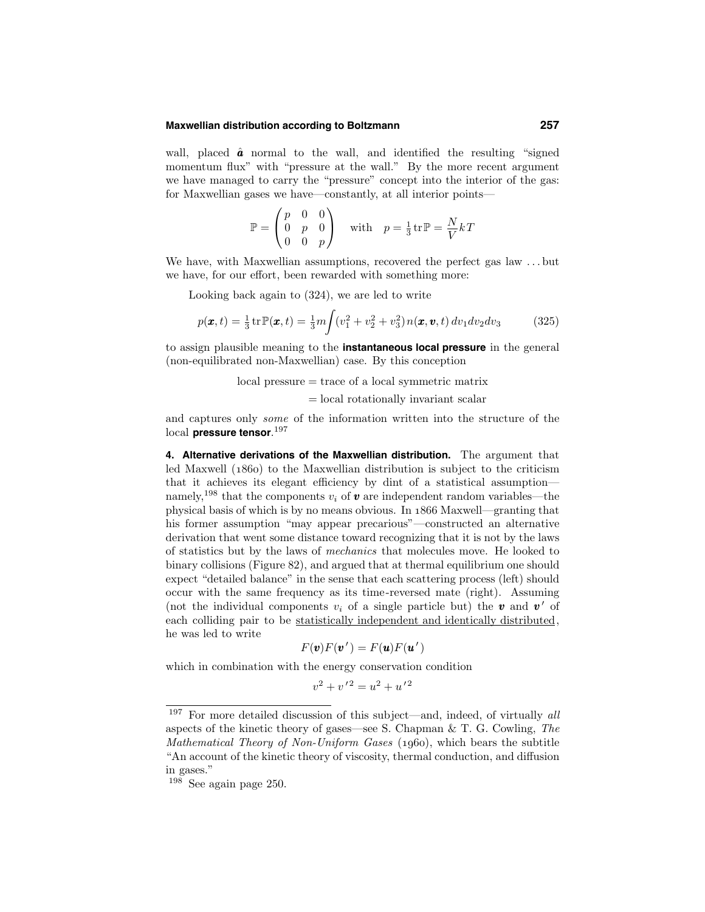### **Maxwellian distribution according to Boltzmann 257**

wall, placed  $\hat{a}$  normal to the wall, and identified the resulting "signed" momentum flux" with "pressure at the wall." By the more recent argument we have managed to carry the "pressure" concept into the interior of the gas: for Maxwellian gases we have—constantly, at all interior points—

$$
\mathbb{P} = \begin{pmatrix} p & 0 & 0 \\ 0 & p & 0 \\ 0 & 0 & p \end{pmatrix} \quad \text{with} \quad p = \frac{1}{3} \text{tr} \mathbb{P} = \frac{N}{V} kT
$$

We have, with Maxwellian assumptions, recovered the perfect gas law . . . but we have, for our effort, been rewarded with something more:

Looking back again to (324), we are led to write

$$
p(\pmb{x},t) = \frac{1}{3} \text{tr} \mathbb{P}(\pmb{x},t) = \frac{1}{3} m \int (v_1^2 + v_2^2 + v_3^2) n(\pmb{x}, \pmb{v},t) \, dv_1 dv_2 dv_3 \tag{325}
$$

to assign plausible meaning to the **instantaneous local pressure** in the general (non-equilibrated non-Maxwellian) case. By this conception

> local pressure = trace of a local symmetric matrix = local rotationally invariant scalar

and captures only some of the information written into the structure of the local **pressure tensor**. 197

**4. Alternative derivations of the Maxwellian distribution.** The argument that led Maxwell  $(1860)$  to the Maxwellian distribution is subject to the criticism that it achieves its elegant efficiency by dint of a statistical assumption namely,<sup>198</sup> that the components  $v_i$  of  $\boldsymbol{v}$  are independent random variables—the physical basis of which is by no means obvious. In 1866 Maxwell—granting that his former assumption "may appear precarious"—constructed an alternative derivation that went some distance toward recognizing that it is not by the laws of statistics but by the laws of mechanics that molecules move. He looked to binary collisions (Figure 82), and argued that at thermal equilibrium one should expect "detailed balance" in the sense that each scattering process (left) should occur with the same frequency as its time-reversed mate (right). Assuming (not the individual components  $v_i$  of a single particle but) the **v** and **v'** of each colliding pair to be statistically independent and identically distributed, he was led to write

$$
F(\mathbf{v})F(\mathbf{v}') = F(\mathbf{u})F(\mathbf{u}')
$$

which in combination with the energy conservation condition

$$
v^2 + v'^2 = u^2 + u'^2
$$

 $197$  For more detailed discussion of this subject—and, indeed, of virtually all aspects of the kinetic theory of gases—see S. Chapman & T. G. Cowling, The Mathematical Theory of Non-Uniform Gases  $(1060)$ , which bears the subtitle "An account of the kinetic theory of viscosity, thermal conduction, and diffusion in gases."

<sup>198</sup> See again page 250.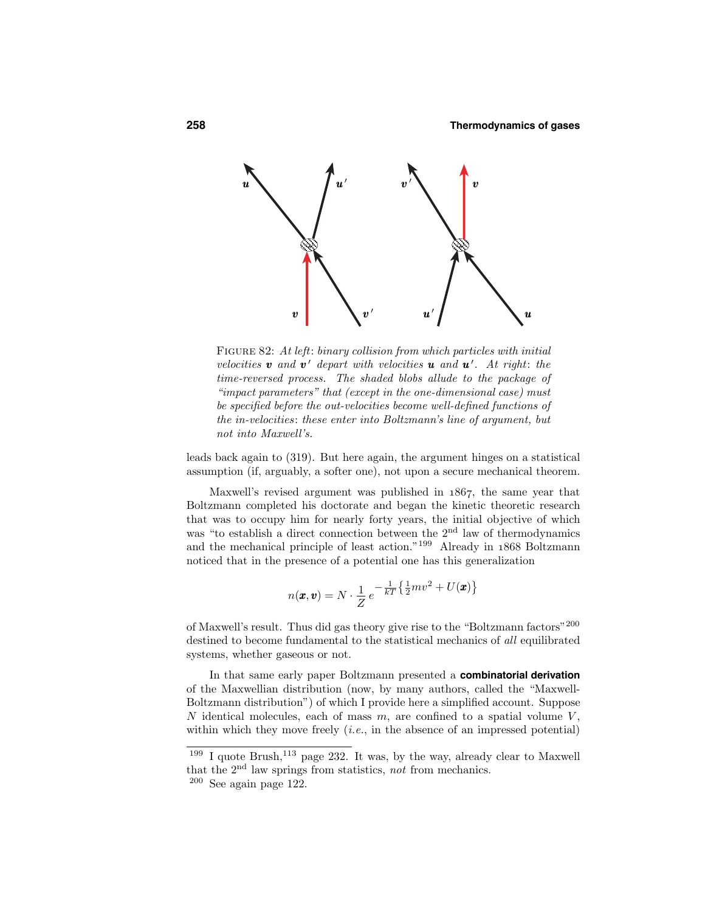

FIGURE 82: At left: binary collision from which particles with initial velocities **v** and **v**' depart with velocities **u** and **u**'. At right: the time-reversed process. The shaded blobs allude to the package of "impact parameters" that (except in the one-dimensional case) must be specified before the out-velocities become well-defined functions of the in-velocities: these enter into Boltzmann's line of argument, but not into Maxwell's.

leads back again to (319). But here again, the argument hinges on a statistical assumption (if, arguably, a softer one), not upon a secure mechanical theorem.

Maxwell's revised argument was published in  $1867$ , the same year that Boltzmann completed his doctorate and began the kinetic theoretic research that was to occupy him for nearly forty years, the initial objective of which was "to establish a direct connection between the 2<sup>nd</sup> law of thermodynamics and the mechanical principle of least action."<sup>199</sup> Already in  $1868$  Boltzmann noticed that in the presence of a potential one has this generalization

$$
n(\boldsymbol{x}, \boldsymbol{v}) = N \cdot \frac{1}{Z} e^{-\frac{1}{kT} \left\{ \frac{1}{2} m v^2 + U(\boldsymbol{x}) \right\}}
$$

of Maxwell's result. Thus did gas theory give rise to the "Boltzmann factors"<sup>200</sup> destined to become fundamental to the statistical mechanics of all equilibrated systems, whether gaseous or not.

In that same early paper Boltzmann presented a **combinatorial derivation** of the Maxwellian distribution (now, by many authors, called the "Maxwell-Boltzmann distribution") of which I provide here a simplified account. Suppose N identical molecules, each of mass  $m$ , are confined to a spatial volume  $V$ , within which they move freely  $(i.e.,$  in the absence of an impressed potential)

 $199$  I quote Brush,  $113$  page 232. It was, by the way, already clear to Maxwell that the  $2<sup>nd</sup>$  law springs from statistics, not from mechanics.

<sup>200</sup> See again page 122.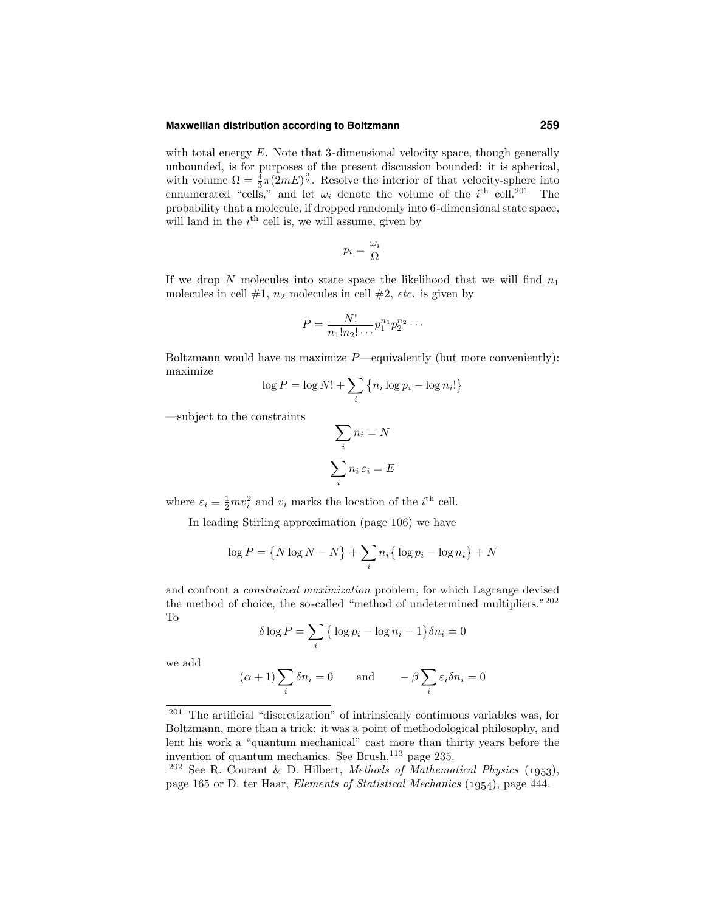### **Maxwellian distribution according to Boltzmann 259**

with total energy  $E$ . Note that 3-dimensional velocity space, though generally unbounded, is for purposes of the present discussion bounded: it is spherical, with volume  $\Omega = \frac{4}{3}\pi (2mE)^{\frac{3}{2}}$ . Resolve the interior of that velocity-sphere into ennumerated "cells," and let  $\omega_i$  denote the volume of the  $i^{\text{th}}$  cell.<sup>201</sup> The probability that a molecule, if dropped randomly into 6-dimensional state space, will land in the  $i<sup>th</sup>$  cell is, we will assume, given by

$$
p_i = \frac{\omega_i}{\Omega}
$$

If we drop N molecules into state space the likelihood that we will find  $n_1$ molecules in cell  $#1$ ,  $n_2$  molecules in cell  $#2$ , *etc.* is given by

$$
P = \frac{N!}{n_1! n_2! \dots} p_1^{n_1} p_2^{n_2} \dots
$$

Boltzmann would have us maximize  $P$ —equivalently (but more conveniently): maximize

$$
\log P = \log N! + \sum_{i} \left\{ n_i \log p_i - \log n_i! \right\}
$$

—subject to the constraints

$$
\sum_{i} n_{i} = N
$$

$$
\sum_{i} n_{i} \varepsilon_{i} = E
$$

where  $\varepsilon_i \equiv \frac{1}{2}mv_i^2$  and  $v_i$  marks the location of the *i*<sup>th</sup> cell.

In leading Stirling approximation (page 106) we have

$$
\log P = \left\{ N \log N - N \right\} + \sum_{i} n_i \left\{ \log p_i - \log n_i \right\} + N
$$

and confront a constrained maximization problem, for which Lagrange devised the method of choice, the so-called "method of undetermined multipliers." $^{202}$ To

$$
\delta \log P = \sum_{i} \left\{ \log p_i - \log n_i - 1 \right\} \delta n_i = 0
$$

we add

$$
(\alpha + 1) \sum_{i} \delta n_i = 0
$$
 and  $-\beta \sum_{i} \varepsilon_i \delta n_i = 0$ 

<sup>201</sup> The artificial "discretization" of intrinsically continuous variables was, for Boltzmann, more than a trick: it was a point of methodological philosophy, and lent his work a "quantum mechanical" cast more than thirty years before the invention of quantum mechanics. See Brush, $^{113}$  page 235.

<sup>&</sup>lt;sup>202</sup> See R. Courant & D. Hilbert, *Methods of Mathematical Physics* (1953), page 165 or D. ter Haar, *Elements of Statistical Mechanics* (1954), page 444.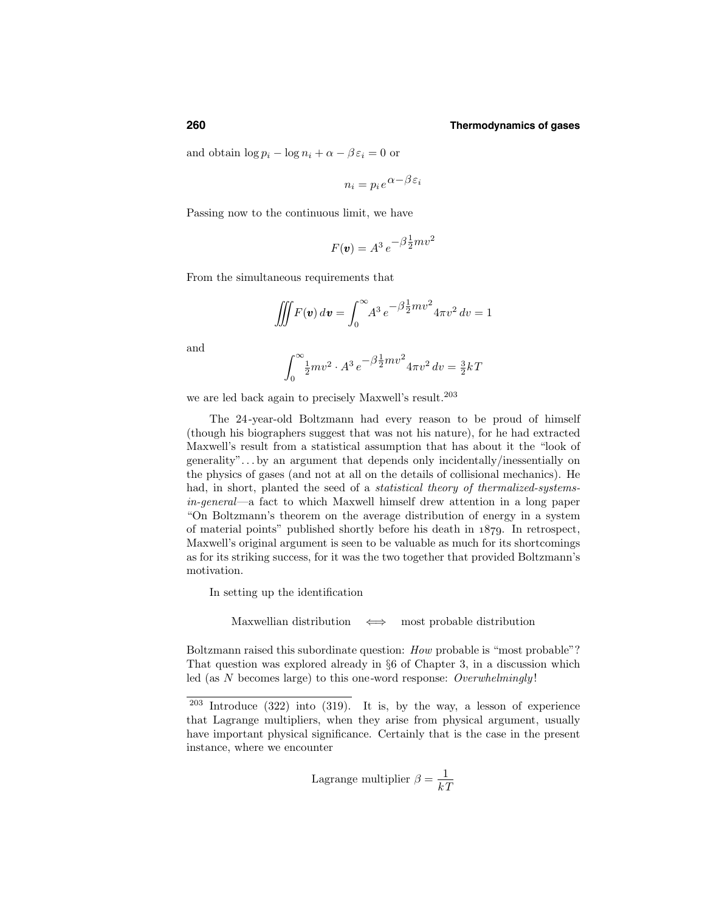and obtain  $\log p_i - \log n_i + \alpha - \beta \varepsilon_i = 0$  or

$$
n_i = p_i e^{\alpha - \beta \varepsilon_i}
$$

Passing now to the continuous limit, we have

$$
F(\mathbf{v}) = A^3 e^{-\beta \frac{1}{2}mv^2}
$$

From the simultaneous requirements that

$$
\iiint F(\mathbf{v}) d\mathbf{v} = \int_0^\infty A^3 e^{-\beta \frac{1}{2}mv^2} 4\pi v^2 dv = 1
$$

and

$$
\int_0^\infty \frac{1}{2}mv^2 \cdot A^3 e^{-\beta \frac{1}{2}mv^2} 4\pi v^2 dv = \frac{3}{2}kT
$$

we are led back again to precisely Maxwell's result.<sup>203</sup>

The 24-year-old Boltzmann had every reason to be proud of himself (though his biographers suggest that was not his nature), for he had extracted Maxwell's result from a statistical assumption that has about it the "look of generality". . . by an argument that depends only incidentally/inessentially on the physics of gases (and not at all on the details of collisional mechanics). He had, in short, planted the seed of a *statistical theory of thermalized-systems*in-general—a fact to which Maxwell himself drew attention in a long paper "On Boltzmann's theorem on the average distribution of energy in a system of material points" published shortly before his death in  $1879$ . In retrospect, Maxwell's original argument is seen to be valuable as much for its shortcomings as for its striking success, for it was the two together that provided Boltzmann's motivation.

In setting up the identification

Maxwellian distribution  $\iff$  most probable distribution

Boltzmann raised this subordinate question: *How* probable is "most probable"? That question was explored already in §6 of Chapter 3, in a discussion which led (as  $N$  becomes large) to this one-word response: Overwhelmingly!

Lagrange multiplier 
$$
\beta = \frac{1}{kT}
$$

<sup>203</sup> Introduce (322) into (319). It is, by the way, a lesson of experience that Lagrange multipliers, when they arise from physical argument, usually have important physical significance. Certainly that is the case in the present instance, where we encounter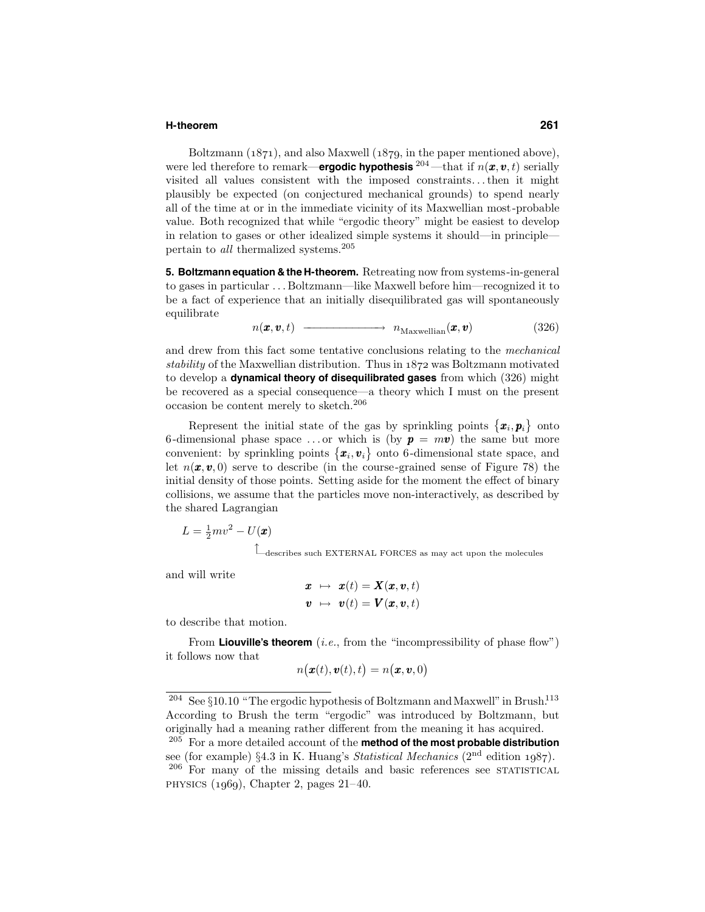### **H-theorem 261**

Boltzmann  $(1871)$ , and also Maxwell  $(1879)$ , in the paper mentioned above), were led therefore to remark—**ergodic hypothesis**  $^{204}$ —that if  $n(x, v, t)$  serially visited all values consistent with the imposed constraints. . .then it might plausibly be expected (on conjectured mechanical grounds) to spend nearly all of the time at or in the immediate vicinity of its Maxwellian most-probable value. Both recognized that while "ergodic theory" might be easiest to develop in relation to gases or other idealized simple systems it should—in principle pertain to *all* thermalized systems.<sup>205</sup>

**5. Boltzmann equation & the H-theorem.** Retreating now from systems-in-general to gases in particular . . . Boltzmann—like Maxwell before him—recognized it to be a fact of experience that an initially disequilibrated gas will spontaneously equilibrate

$$
n(\pmb{x}, \pmb{v}, t) \longrightarrow n_{\text{Maxwellian}}(\pmb{x}, \pmb{v}) \tag{326}
$$

and drew from this fact some tentative conclusions relating to the mechanical stability of the Maxwellian distribution. Thus in  $1872$  was Boltzmann motivated to develop a **dynamical theory of disequilibrated gases** from which (326) might be recovered as a special consequence—a theory which I must on the present occasion be content merely to sketch.<sup>206</sup>

Represent the initial state of the gas by sprinkling points  $\{\boldsymbol{x}_i, \boldsymbol{p}_i\}$  onto 6-dimensional phase space ... or which is (by  $p = mv$ ) the same but more convenient: by sprinkling points  $\{\boldsymbol{x}_i, \boldsymbol{v}_i\}$  onto 6-dimensional state space, and let  $n(\mathbf{x}, \mathbf{v}, 0)$  serve to describe (in the course-grained sense of Figure 78) the initial density of those points. Setting aside for the moment the effect of binary collisions, we assume that the particles move non-interactively, as described by the shared Lagrangian

$$
L = \frac{1}{2}mv^2 - U(\pmb{x})
$$

↑ —describes such EXTERNAL FORCES as may act upon the molecules

and will write

$$
\begin{array}{rcl} \boldsymbol{x} & \mapsto & \boldsymbol{x}(t) = \boldsymbol{X}(\boldsymbol{x}, \boldsymbol{v}, t) \\ \boldsymbol{v} & \mapsto & \boldsymbol{v}(t) = \boldsymbol{V}(\boldsymbol{x}, \boldsymbol{v}, t) \end{array}
$$

to describe that motion.

From **Liouville's theorem** (*i.e.*, from the "incompressibility of phase flow") it follows now that

$$
n(\bm{x}(t), \bm{v}(t), t) = n(\bm{x}, \bm{v}, 0)
$$

<sup>&</sup>lt;sup>204</sup> See §10.10 "The ergodic hypothesis of Boltzmann and Maxwell" in Brush.<sup>113</sup> According to Brush the term "ergodic" was introduced by Boltzmann, but originally had a meaning rather different from the meaning it has acquired.

<sup>205</sup> For a more detailed account of the **method of the most probable distribution** see (for example) §4.3 in K. Huang's *Statistical Mechanics* ( $2<sup>nd</sup>$  edition 1987). <sup>206</sup> For many of the missing details and basic references see STATISTICAL PHYSICS  $(1969)$ , Chapter 2, pages 21–40.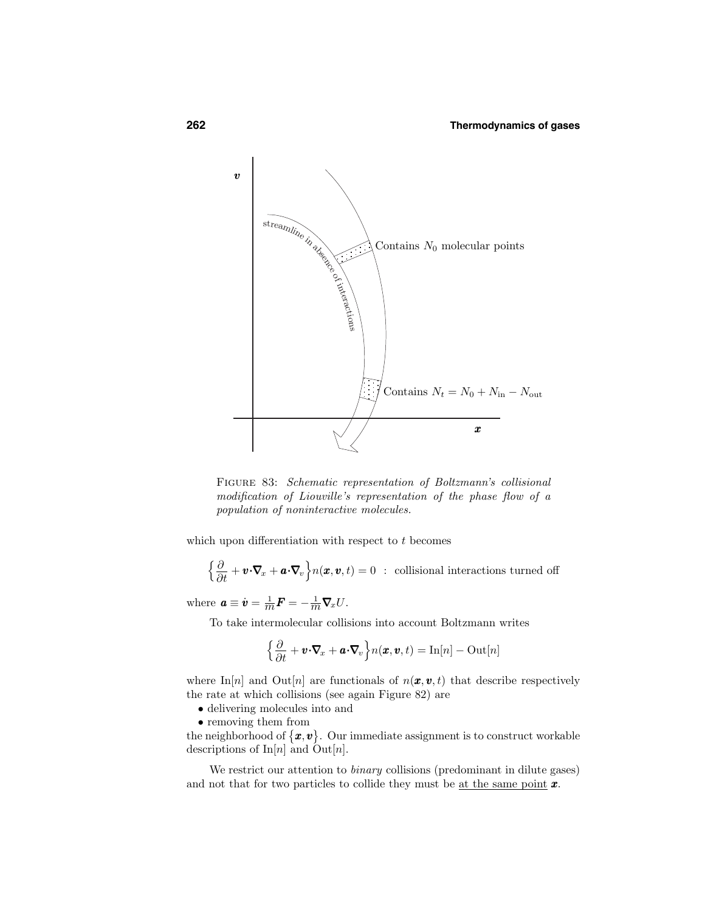

Figure 83: Schematic representation of Boltzmann's collisional modification of Liouville's representation of the phase flow of a population of noninteractive molecules.

which upon differentiation with respect to t becomes

$$
\left\{\frac{\partial}{\partial t} + \boldsymbol{v} \cdot \nabla_x + \boldsymbol{a} \cdot \nabla_v\right\} n(\boldsymbol{x}, \boldsymbol{v}, t) = 0 \; : \; \text{collisional interactions turned off}
$$

where  $\boldsymbol{a} \equiv \dot{\boldsymbol{v}} = \frac{1}{m} \boldsymbol{F} = -\frac{1}{m} \boldsymbol{\nabla}_{x} U$ .

To take intermolecular collisions into account Boltzmann writes

$$
\left\{\frac{\partial}{\partial t} + \boldsymbol{v} \cdot \boldsymbol{\nabla}_x + \boldsymbol{a} \cdot \boldsymbol{\nabla}_v\right\} n(\boldsymbol{x}, \boldsymbol{v}, t) = \ln[n] - \mathrm{Out}[n]
$$

where In[n] and Out[n] are functionals of  $n(\mathbf{x}, \mathbf{v}, t)$  that describe respectively the rate at which collisions (see again Figure 82) are

- delivering molecules into and
- removing them from

the neighborhood of  $\{\boldsymbol{x}, \boldsymbol{v}\}$ . Our immediate assignment is to construct workable descriptions of  $\text{In}[n]$  and  $\text{Out}[n]$ .

We restrict our attention to *binary* collisions (predominant in dilute gases) and not that for two particles to collide they must be <u>at the same point</u>  $x$ .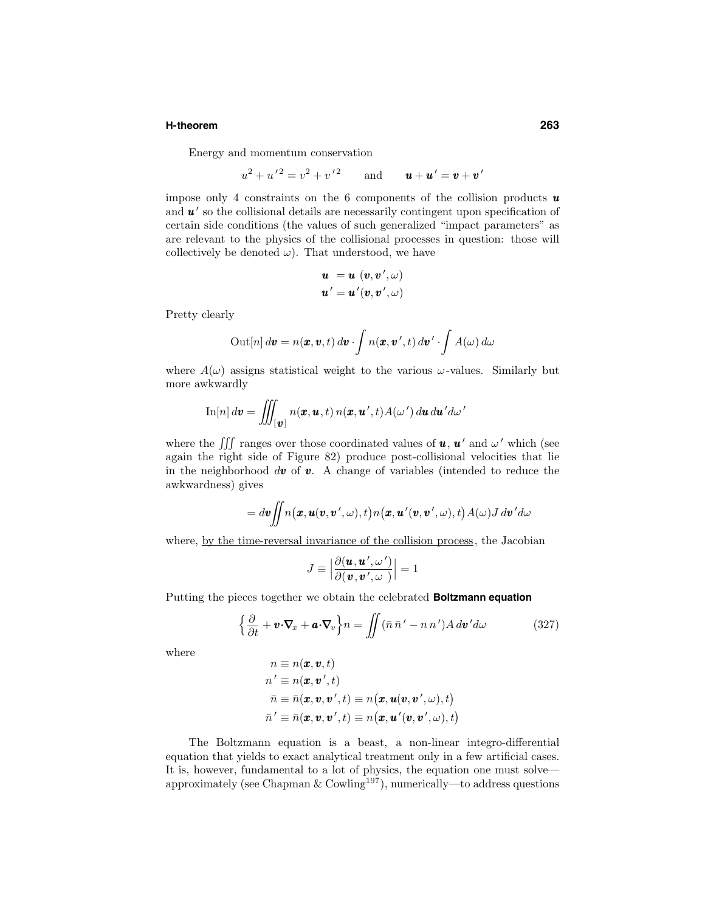### **H-theorem 263**

Energy and momentum conservation

$$
u^2 + u'^2 = v^2 + v'^2
$$
 and  $\mathbf{u} + \mathbf{u}' = \mathbf{v} + \mathbf{v}'$ 

impose only 4 constraints on the 6 components of the collision products  $\boldsymbol{u}$ and  $\mathbf{u}'$  so the collisional details are necessarily contingent upon specification of certain side conditions (the values of such generalized "impact parameters" as are relevant to the physics of the collisional processes in question: those will collectively be denoted  $\omega$ ). That understood, we have

$$
\begin{array}{l} \boldsymbol{u} \ = \boldsymbol{u} \ ( \boldsymbol{v} , \boldsymbol{v}' , \omega ) \\ \boldsymbol{u}' \ = \boldsymbol{u}' ( \boldsymbol{v} , \boldsymbol{v}' , \omega ) \end{array}
$$

Pretty clearly

$$
\text{Out}[n] d\boldsymbol{v} = n(\boldsymbol{x}, \boldsymbol{v}, t) d\boldsymbol{v} \cdot \int n(\boldsymbol{x}, \boldsymbol{v}', t) d\boldsymbol{v}' \cdot \int A(\omega) d\omega
$$

where  $A(\omega)$  assigns statistical weight to the various  $\omega$ -values. Similarly but more awkwardly

$$
\mathrm{In}[n]\,d\boldsymbol{v}=\iiint_{[\boldsymbol{v}]}n(\boldsymbol{x},\boldsymbol{u},t)\,n(\boldsymbol{x},\boldsymbol{u}',t)A(\omega')\,d\boldsymbol{u}\,d\boldsymbol{u}'d\omega'
$$

where the  $\iiint$  ranges over those coordinated values of **u**, **u**' and  $\omega$ ' which (see again the right side of Figure 82) produce post-collisional velocities that lie in the neighborhood  $d\mathbf{v}$  of  $\mathbf{v}$ . A change of variables (intended to reduce the awkwardness) gives

$$
= d\pmb{v} \iint n\big(\pmb{x},\pmb{u}(\pmb{v},\pmb{v}',\omega),t\big) n\big(\pmb{x},\pmb{u}'(\pmb{v},\pmb{v}',\omega),t\big) A(\omega) J\,d\pmb{v}' d\omega
$$

where, by the time-reversal invariance of the collision process, the Jacobian

$$
J \equiv \left| \frac{\partial(\boldsymbol{u},\boldsymbol{u}',\omega')}{\partial(\boldsymbol{v},\boldsymbol{v}',\omega')} \right| = 1
$$

Putting the pieces together we obtain the celebrated **Boltzmann equation**

$$
\left\{\frac{\partial}{\partial t} + \boldsymbol{v} \cdot \nabla_x + \boldsymbol{a} \cdot \nabla_v\right\} n = \iint (\bar{n}\,\bar{n}' - n\,n')A\,d\boldsymbol{v}'d\omega \tag{327}
$$

where

$$
\begin{aligned} n &\equiv n(\pmb{x},\pmb{v},t) \\ n' &\equiv n(\pmb{x},\pmb{v}',t) \\ \bar{n} &\equiv \bar{n}(\pmb{x},\pmb{v},\pmb{v}',t) \equiv n\big(\pmb{x},\pmb{u}(\pmb{v},\pmb{v}',\omega),t\big) \\ \bar{n}' &\equiv \bar{n}(\pmb{x},\pmb{v},\pmb{v}',t) \equiv n\big(\pmb{x},\pmb{u}'(\pmb{v},\pmb{v}',\omega),t\big) \end{aligned}
$$

The Boltzmann equation is a beast, a non-linear integro-differential equation that yields to exact analytical treatment only in a few artificial cases. It is, however, fundamental to a lot of physics, the equation one must solve approximately (see Chapman & Cowling<sup>197</sup>), numerically—to address questions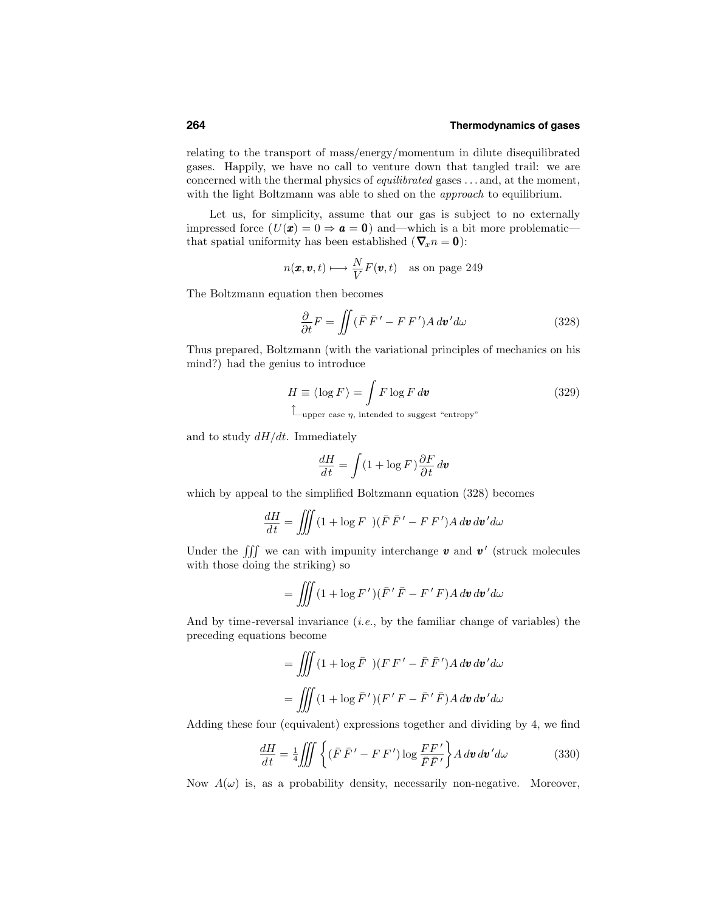relating to the transport of mass/energy/momentum in dilute disequilibrated gases. Happily, we have no call to venture down that tangled trail: we are concerned with the thermal physics of equilibrated gases . . . and, at the moment, with the light Boltzmann was able to shed on the *approach* to equilibrium.

Let us, for simplicity, assume that our gas is subject to no externally impressed force  $(U(\mathbf{x}) = 0 \Rightarrow \mathbf{a} = \mathbf{0})$  and—which is a bit more problematic that spatial uniformity has been established ( $\nabla_x n = 0$ ):

$$
n(\pmb{x}, \pmb{v}, t) \longmapsto \frac{N}{V} F(\pmb{v}, t) \quad \text{as on page 249}
$$

The Boltzmann equation then becomes

$$
\frac{\partial}{\partial t}F = \iint (\bar{F}\,\bar{F}' - F\,F')A\,d\mathbf{v}'d\omega \tag{328}
$$

Thus prepared, Boltzmann (with the variational principles of mechanics on his mind?) had the genius to introduce

$$
H \equiv \langle \log F \rangle = \int F \log F d\mathbf{v}
$$
 (329)  
\n
$$
\mathcal{L}_{\text{upper case } \eta, \text{ intended to suggest "entropy"}}
$$

and to study  $dH/dt$ . Immediately

$$
\frac{dH}{dt}=\int (1+\log F)\frac{\partial F}{\partial t}\,d\pmb{v}
$$

which by appeal to the simplified Boltzmann equation (328) becomes

$$
\frac{dH}{dt} = \iiint (1 + \log F)(\bar{F}\,\bar{F}' - F\,F')A\,d\bm{v}\,d\bm{v}'d\omega
$$

Under the  $\iiint$  we can with impunity interchange v and v' (struck molecules with those doing the striking) so

$$
= \iiint (1 + \log F')(\bar{F}' \bar{F} - F' F) A d\bm{v} d\bm{v}' d\omega
$$

And by time-reversal invariance  $(i.e.,$  by the familiar change of variables) the preceding equations become

$$
= \iiint (1 + \log \bar{F}) (F F' - \bar{F} \bar{F}') A d\mathbf{v} d\mathbf{v}' d\omega
$$

$$
= \iiint (1 + \log \bar{F}') (F' F - \bar{F}' \bar{F}) A d\mathbf{v} d\mathbf{v}' d\omega
$$

Adding these four (equivalent) expressions together and dividing by 4, we find

$$
\frac{dH}{dt} = \frac{1}{4} \iiint \left\{ (\bar{F} \,\bar{F}' - F \,F') \log \frac{F F'}{\bar{F} \bar{F}'} \right\} A \, d\boldsymbol{v} \, d\boldsymbol{v}' d\omega \tag{330}
$$

Now  $A(\omega)$  is, as a probability density, necessarily non-negative. Moreover,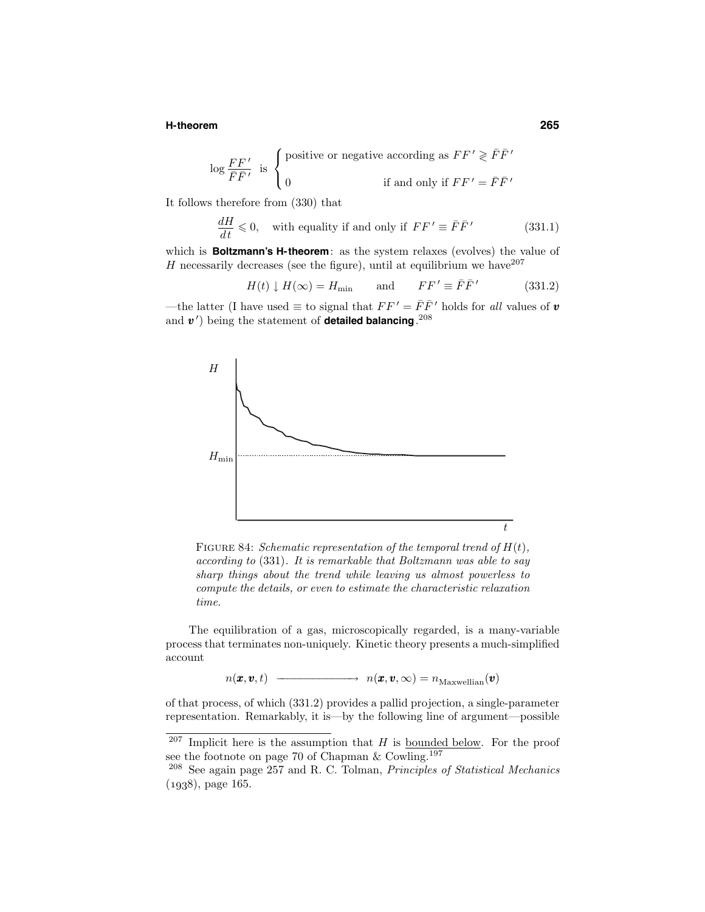### **H-theorem 265**

$$
\log \frac{FF'}{\bar{F}\bar{F}'}
$$
 is 
$$
\begin{cases} \text{positive or negative according as } FF' \geqslant \bar{F}\bar{F}' \\ 0 \end{cases}
$$
 if and only if  $FF' = \bar{F}\bar{F}'$ 

It follows therefore from (330) that

$$
\frac{dH}{dt} \leq 0, \quad \text{with equality if and only if } FF' \equiv \bar{F}\bar{F}' \tag{331.1}
$$

which is **Boltzmann's H-theorem**: as the system relaxes (evolves) the value of H necessarily decreases (see the figure), until at equilibrium we have  $2^{207}$ 

$$
H(t) \downarrow H(\infty) = H_{\min} \quad \text{and} \quad FF' \equiv \bar{F}\bar{F}' \quad (331.2)
$$

—the latter (I have used  $\equiv$  to signal that  $FF' = \bar{F}\bar{F}'$  holds for all values of **v** and  $v'$ ) being the statement of **detailed balancing**.<sup>208</sup>



FIGURE 84: Schematic representation of the temporal trend of  $H(t)$ , according to (331). It is remarkable that Boltzmann was able to say sharp things about the trend while leaving us almost powerless to compute the details, or even to estimate the characteristic relaxation time.

The equilibration of a gas, microscopically regarded, is a many-variable process that terminates non-uniquely. Kinetic theory presents a much-simplified account

 $n(\pmb{x}, \pmb{v}, t) \longrightarrow n(\pmb{x}, \pmb{v}, \infty) = n_{\text{Maxwellian}}(\pmb{v})$ 

of that process, of which (331.2) provides a pallid projection, a single-parameter representation. Remarkably, it is—by the following line of argument—possible

 $207$  Implicit here is the assumption that H is bounded below. For the proof see the footnote on page 70 of Chapman & Cowling.<sup>197</sup>

 $208$  See again page 257 and R. C. Tolman, *Principles of Statistical Mechanics*  $(1938)$ , page 165.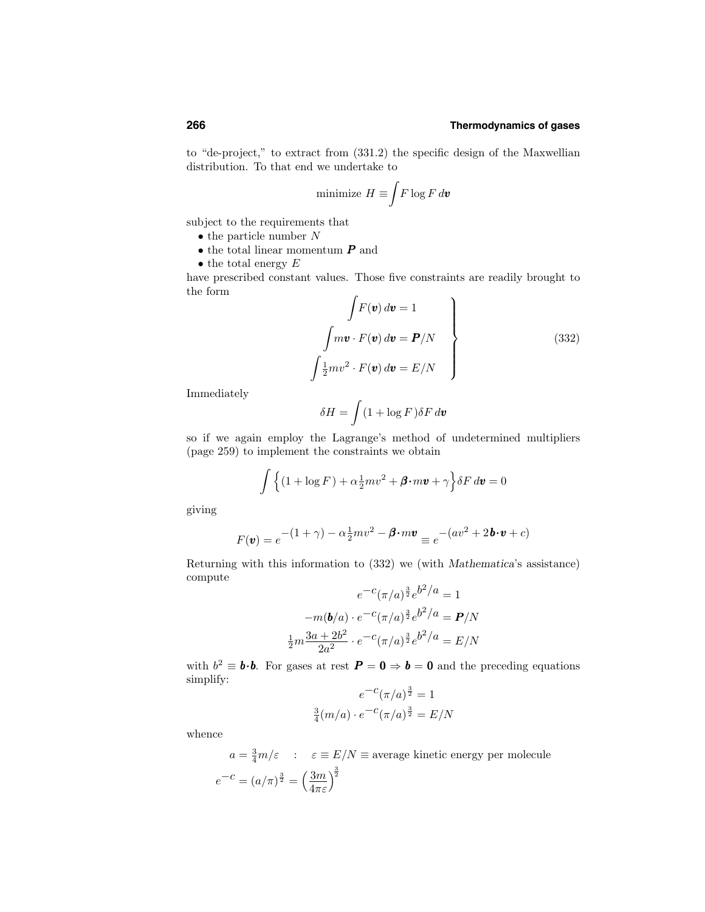to "de-project," to extract from (331.2) the specific design of the Maxwellian distribution. To that end we undertake to

minimize 
$$
H \equiv \int F \log F d\boldsymbol{v}
$$

subject to the requirements that

- the particle number  $N$
- $\bullet$  the total linear momentum  $\boldsymbol{P}$  and
- the total energy  $E$

have prescribed constant values. Those five constraints are readily brought to the form

$$
\int F(\mathbf{v}) d\mathbf{v} = 1
$$
\n
$$
\int m\mathbf{v} \cdot F(\mathbf{v}) d\mathbf{v} = \mathbf{P}/N
$$
\n
$$
\int \frac{1}{2} m v^2 \cdot F(\mathbf{v}) d\mathbf{v} = E/N
$$
\n(332)

Immediately

$$
\delta H = \int (1 + \log F) \delta F \, d\boldsymbol{v}
$$

so if we again employ the Lagrange's method of undetermined multipliers (page 259) to implement the constraints we obtain

$$
\int \left\{ (1 + \log F) + \alpha \frac{1}{2} m v^2 + \boldsymbol{\beta} \cdot m \boldsymbol{v} + \gamma \right\} \delta F d\boldsymbol{v} = 0
$$

giving

$$
F(\mathbf{v}) = e^{-(1+\gamma) - \alpha \frac{1}{2}mv^2 - \boldsymbol{\beta} \cdot m\mathbf{v}} \equiv e^{-(av^2 + 2\mathbf{b} \cdot \mathbf{v} + c)}
$$

Returning with this information to (332) we (with Mathematica's assistance) compute

$$
e^{-c}(\pi/a)^{\frac{3}{2}}e^{b^2/a} = 1
$$

$$
-m(b/a) \cdot e^{-c}(\pi/a)^{\frac{3}{2}}e^{b^2/a} = P/N
$$

$$
\frac{1}{2}m\frac{3a+2b^2}{2a^2} \cdot e^{-c}(\pi/a)^{\frac{3}{2}}e^{b^2/a} = E/N
$$

with  $b^2 \equiv \mathbf{b} \cdot \mathbf{b}$ . For gases at rest  $\mathbf{P} = \mathbf{0} \Rightarrow \mathbf{b} = \mathbf{0}$  and the preceding equations simplify:

$$
e^{-c}(\pi/a)^{\frac{3}{2}} = 1
$$

$$
\frac{3}{4}(m/a) \cdot e^{-c}(\pi/a)^{\frac{3}{2}} = E/N
$$

whence

 $a = \frac{3}{4}m/\varepsilon$  :  $\varepsilon \equiv E/N \equiv$  average kinetic energy per molecule  $e^{-c} = (a/\pi)^{\frac{3}{2}} = \left(\frac{3m}{4}\right)$  $4\pi\varepsilon$  $\sqrt{\frac{3}{2}}$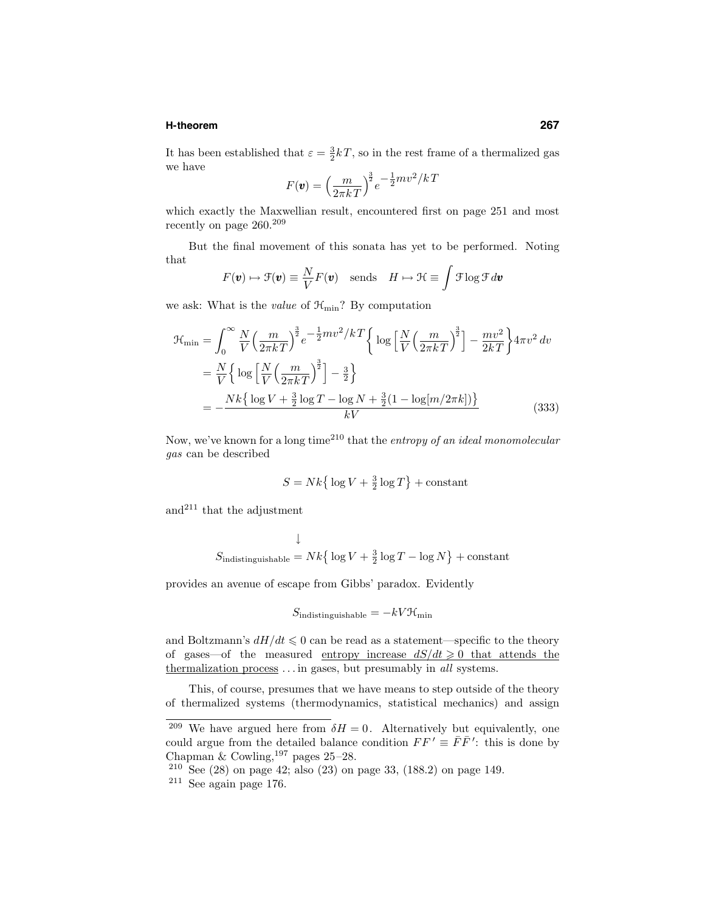### **H-theorem 267**

It has been established that  $\varepsilon = \frac{3}{2}kT$ , so in the rest frame of a thermalized gas we have

$$
F(\mathbf{v}) = \left(\frac{m}{2\pi kT}\right)^{\frac{3}{2}} e^{-\frac{1}{2}mv^2/kT}
$$

which exactly the Maxwellian result, encountered first on page 251 and most recently on page 260.<sup>209</sup>

But the final movement of this sonata has yet to be performed. Noting that

$$
F(\mathbf{v}) \mapsto \mathcal{F}(\mathbf{v}) \equiv \frac{N}{V} F(\mathbf{v}) \quad \text{sends} \quad H \mapsto \mathcal{H} \equiv \int \mathcal{F} \log \mathcal{F} d\mathbf{v}
$$

we ask: What is the *value* of  $\mathcal{H}_{\text{min}}$ ? By computation

$$
\mathcal{H}_{\min} = \int_0^\infty \frac{N}{V} \left( \frac{m}{2\pi k} \right)^{\frac{3}{2}} e^{-\frac{1}{2}mv^2/k} \left\{ \log \left[ \frac{N}{V} \left( \frac{m}{2\pi k} \right)^{\frac{3}{2}} \right] - \frac{mv^2}{2k} \right\} 4\pi v^2 \, dv
$$
\n
$$
= \frac{N}{V} \left\{ \log \left[ \frac{N}{V} \left( \frac{m}{2\pi k} \right)^{\frac{3}{2}} \right] - \frac{3}{2} \right\}
$$
\n
$$
= -\frac{Nk \left\{ \log V + \frac{3}{2} \log T - \log N + \frac{3}{2} (1 - \log[m/2\pi k]) \right\}}{kV}
$$
\n(333)

Now, we've known for a long time<sup>210</sup> that the entropy of an ideal monomolecular gas can be described

$$
S = Nk \big\{ \log V + \tfrac{3}{2} \log T \big\} + \text{constant}
$$

and<sup>211</sup> that the adjustment

$$
\downarrow
$$
  

$$
S_{\text{indistinguishable}} = Nk \{ \log V + \frac{3}{2} \log T - \log N \} + \text{constant}
$$

provides an avenue of escape from Gibbs' paradox. Evidently

$$
S_{\rm indistinguishable}=-kV\mathcal{H}_{\rm min}
$$

and Boltzmann's  $dH/dt \leq 0$  can be read as a statement—specific to the theory of gases—of the measured entropy increase  $dS/dt \geq 0$  that attends the thermalization process  $\dots$  in gases, but presumably in all systems.

This, of course, presumes that we have means to step outside of the theory of thermalized systems (thermodynamics, statistical mechanics) and assign

<sup>&</sup>lt;sup>209</sup> We have argued here from  $\delta H = 0$ . Alternatively but equivalently, one could argue from the detailed balance condition  $FF' \equiv \bar{F}\bar{F}'$ : this is done by Chapman & Cowling,  $197$  pages  $25-28$ .

<sup>210</sup> See (28) on page 42; also (23) on page 33, (188.2) on page 149.

 $211$  See again page 176.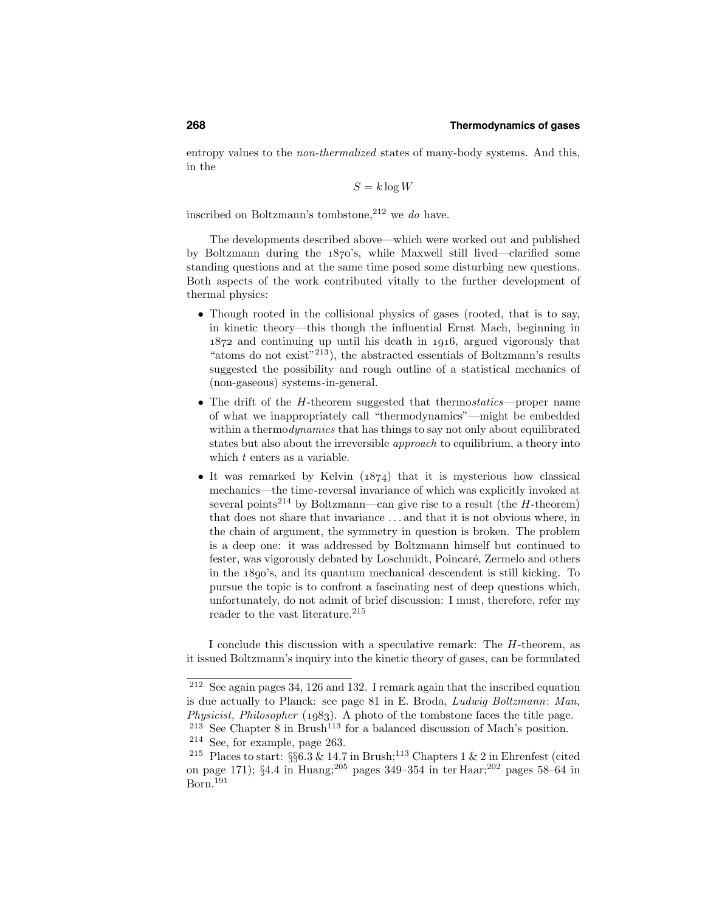entropy values to the non-thermalized states of many-body systems. And this, in the

$$
S = k \log W
$$

inscribed on Boltzmann's tombstone,  $2^{12}$  we do have.

The developments described above—which were worked out and published by Boltzmann during the  $1870$ 's, while Maxwell still lived—clarified some standing questions and at the same time posed some disturbing new questions. Both aspects of the work contributed vitally to the further development of thermal physics:

- Though rooted in the collisional physics of gases (rooted, that is to say, in kinetic theory—this though the influential Ernst Mach, beginning in  $1872$  and continuing up until his death in  $1916$ , argued vigorously that "atoms do not exist"<sup>213</sup>), the abstracted essentials of Boltzmann's results suggested the possibility and rough outline of a statistical mechanics of (non-gaseous) systems-in-general.
- The drift of the H-theorem suggested that thermostatics—proper name of what we inappropriately call "thermodynamics"—might be embedded within a thermodynamics that has things to say not only about equilibrated states but also about the irreversible *approach* to equilibrium, a theory into which  $t$  enters as a variable.
- It was remarked by Kelvin  $(1874)$  that it is mysterious how classical mechanics—the time-reversal invariance of which was explicitly invoked at several points<sup>214</sup> by Boltzmann—can give rise to a result (the  $H$ -theorem) that does not share that invariance . . . and that it is not obvious where, in the chain of argument, the symmetry in question is broken. The problem is a deep one: it was addressed by Boltzmann himself but continued to fester, was vigorously debated by Loschmidt, Poincaré, Zermelo and others in the  $1890$ 's, and its quantum mechanical descendent is still kicking. To pursue the topic is to confront a fascinating nest of deep questions which, unfortunately, do not admit of brief discussion: I must, therefore, refer my reader to the vast literature.<sup>215</sup>

I conclude this discussion with a speculative remark: The H-theorem, as it issued Boltzmann's inquiry into the kinetic theory of gases, can be formulated

<sup>212</sup> See again pages 34, 126 and 132. I remark again that the inscribed equation is due actually to Planck: see page 81 in E. Broda, Ludwig Boltzmann: Man, Physicist, Philosopher  $(1983)$ . A photo of the tombstone faces the title page.

 $213$  See Chapter 8 in Brush<sup>113</sup> for a balanced discussion of Mach's position. <sup>214</sup> See, for example, page 263.

<sup>&</sup>lt;sup>215</sup> Places to start:  $\S66.3 \& 14.7$  in Brush;<sup>113</sup> Chapters 1  $\&$  2 in Ehrenfest (cited on page 171); §4.4 in Huang;<sup>205</sup> pages 349–354 in ter Haar;<sup>202</sup> pages 58–64 in Born.191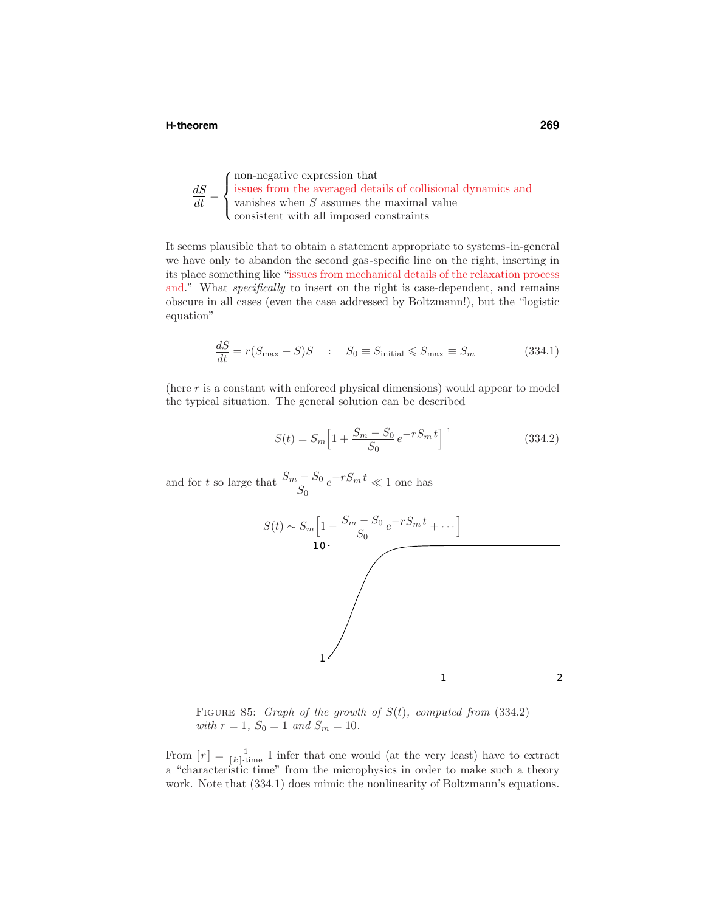### **H-theorem 269**

 $\frac{dS}{dt} =$  $\sqrt{ }$  $\int$  $\overline{a}$ non-negative expression that issues from the averaged details of collisional dynamics and vanishes when  $S$  assumes the maximal value consistent with all imposed constraints

It seems plausible that to obtain a statement appropriate to systems-in-general we have only to abandon the second gas-specific line on the right, inserting in its place something like "issues from mechanical details of the relaxation process and." What *specifically* to insert on the right is case-dependent, and remains obscure in all cases (even the case addressed by Boltzmann!), but the "logistic equation"

$$
\frac{dS}{dt} = r(S_{\text{max}} - S)S \quad : \quad S_0 \equiv S_{\text{initial}} \le S_{\text{max}} \equiv S_m \tag{334.1}
$$

(here  $r$  is a constant with enforced physical dimensions) would appear to model the typical situation. The general solution can be described

$$
S(t) = S_m \left[ 1 + \frac{S_m - S_0}{S_0} e^{-rS_m t} \right]^{-1}
$$
\n(334.2)

and for t so large that  $\frac{S_m - S_0}{S_0} e^{-rS_m t} \ll 1$  one has



FIGURE 85: Graph of the growth of  $S(t)$ , computed from (334.2) with  $r = 1$ ,  $S_0 = 1$  and  $S_m = 10$ .

From  $[r] = \frac{1}{[k] \cdot \text{time}}$  I infer that one would (at the very least) have to extract a "characteristic time" from the microphysics in order to make such a theory work. Note that (334.1) does mimic the nonlinearity of Boltzmann's equations.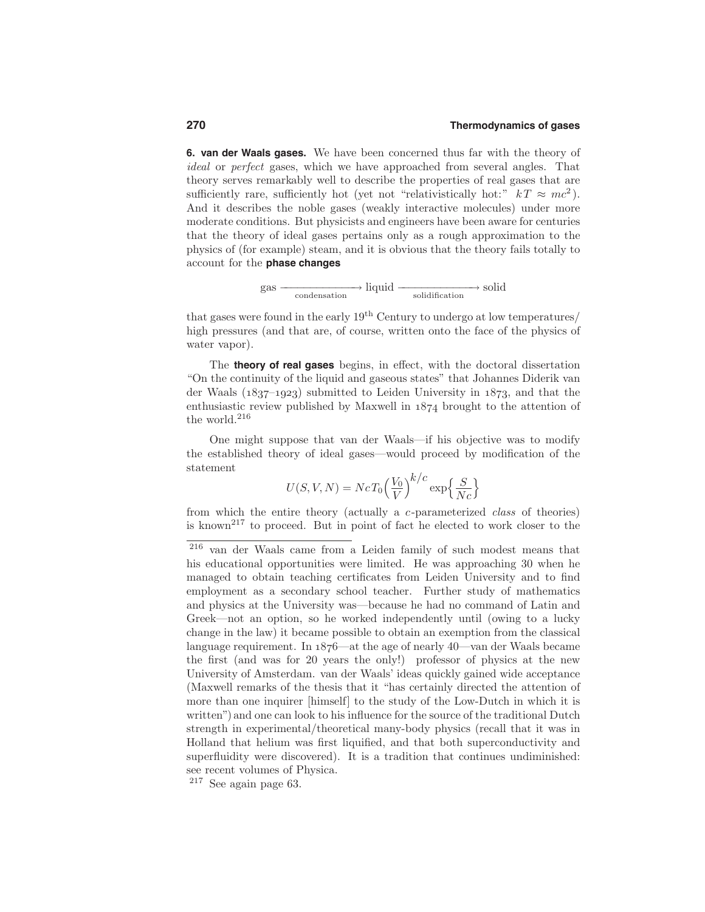**6. van der Waals gases.** We have been concerned thus far with the theory of ideal or perfect gases, which we have approached from several angles. That theory serves remarkably well to describe the properties of real gases that are sufficiently rare, sufficiently hot (yet not "relativistically hot:"  $kT \approx mc^2$ ). And it describes the noble gases (weakly interactive molecules) under more moderate conditions. But physicists and engineers have been aware for centuries that the theory of ideal gases pertains only as a rough approximation to the physics of (for example) steam, and it is obvious that the theory fails totally to account for the **phase changes**

$$
gas \longrightarrow liquid \longrightarrow solid
$$
\n
$$
solid \longrightarrow solid
$$

that gases were found in the early  $19<sup>th</sup>$  Century to undergo at low temperatures/ high pressures (and that are, of course, written onto the face of the physics of water vapor).

The **theory of real gases** begins, in effect, with the doctoral dissertation "On the continuity of the liquid and gaseous states" that Johannes Diderik van der Waals  $(1837-1923)$  submitted to Leiden University in  $1873$ , and that the enthusiastic review published by Maxwell in  $1874$  brought to the attention of the world.<sup>216</sup>

One might suppose that van der Waals—if his objective was to modify the established theory of ideal gases—would proceed by modification of the statement

$$
U(S, V, N) = NcT_0 \left(\frac{V_0}{V}\right)^{k/c} \exp\left\{\frac{S}{Nc}\right\}
$$

from which the entire theory (actually a c-parameterized class of theories) is known<sup>217</sup> to proceed. But in point of fact he elected to work closer to the

<sup>217</sup> See again page 63.

<sup>216</sup> van der Waals came from a Leiden family of such modest means that his educational opportunities were limited. He was approaching 30 when he managed to obtain teaching certificates from Leiden University and to find employment as a secondary school teacher. Further study of mathematics and physics at the University was—because he had no command of Latin and Greek—not an option, so he worked independently until (owing to a lucky change in the law) it became possible to obtain an exemption from the classical language requirement. In  $1876$ —at the age of nearly 40—van der Waals became the first (and was for 20 years the only!) professor of physics at the new University of Amsterdam. van der Waals' ideas quickly gained wide acceptance (Maxwell remarks of the thesis that it "has certainly directed the attention of more than one inquirer [himself] to the study of the Low-Dutch in which it is written") and one can look to his influence for the source of the traditional Dutch strength in experimental/theoretical many-body physics (recall that it was in Holland that helium was first liquified, and that both superconductivity and superfluidity were discovered). It is a tradition that continues undiminished: see recent volumes of Physica.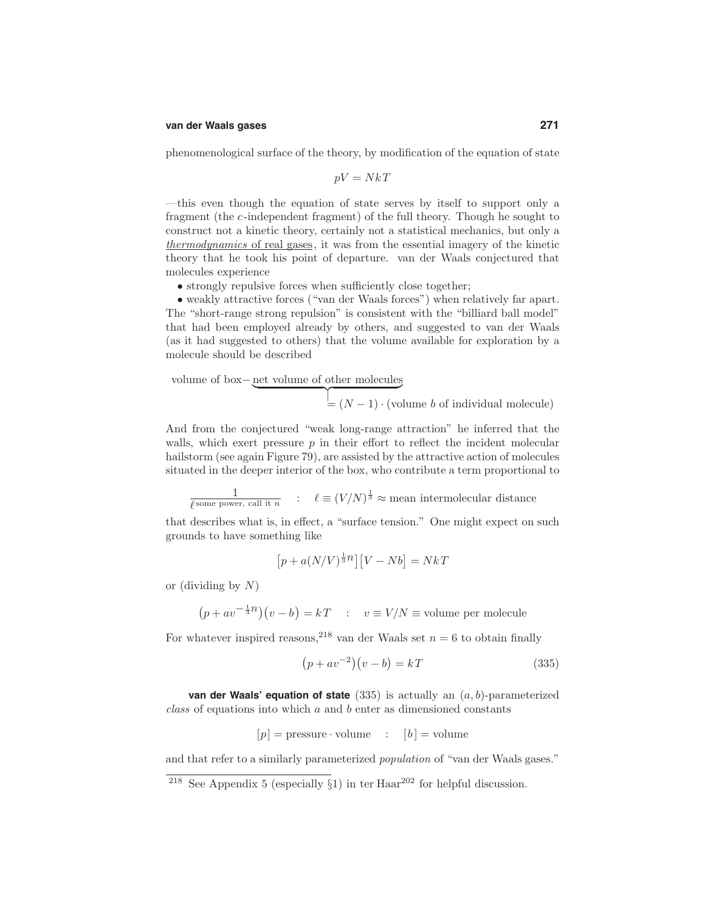### **van der Waals gases 271**

phenomenological surface of the theory, by modification of the equation of state

$$
pV = NkT
$$

—this even though the equation of state serves by itself to support only a fragment (the c-independent fragment) of the full theory. Though he sought to construct not a kinetic theory, certainly not a statistical mechanics, but only a thermodynamics of real gases, it was from the essential imagery of the kinetic theory that he took his point of departure. van der Waals conjectured that molecules experience

• strongly repulsive forces when sufficiently close together;

• weakly attractive forces ("van der Waals forces") when relatively far apart. The "short-range strong repulsion" is consistent with the "billiard ball model" that had been employed already by others, and suggested to van der Waals (as it had suggested to others) that the volume available for exploration by a molecule should be described

volume of box− net volume of other molecules  $=(N-1) \cdot$  (volume b of individual molecule)

And from the conjectured "weak long-range attraction" he inferred that the walls, which exert pressure  $p$  in their effort to reflect the incident molecular hailstorm (see again Figure 79), are assisted by the attractive action of molecules situated in the deeper interior of the box, who contribute a term proportional to

 $\frac{1}{\ell^{\text{some power, call it } n}}$  :  $\ell \equiv (V/N)^{\frac{1}{3}} \approx \text{mean intermolecular distance}$ 

that describes what is, in effect, a "surface tension." One might expect on such grounds to have something like

$$
\left[p + a(N/V)^{\frac{1}{3}n}\right]\left[V - Nb\right] = NkT
$$

or (dividing by  $N$ )

$$
(p + av^{-\frac{1}{3}n})(v - b) = kT \quad : \quad v \equiv V/N \equiv \text{volume per molecule}
$$

For whatever inspired reasons,<sup>218</sup> van der Waals set  $n = 6$  to obtain finally

$$
(p + av^{-2})(v - b) = kT \tag{335}
$$

**van der Waals' equation of state** (335) is actually an (a, b)-parameterized  $class$  of equations into which  $a$  and  $b$  enter as dimensioned constants

$$
[p] = \text{pressure} \cdot \text{volume} \quad : \quad [b] = \text{volume}
$$

and that refer to a similarly parameterized population of "van der Waals gases."

<sup>&</sup>lt;sup>218</sup> See Appendix 5 (especially  $\S$ 1) in ter Haar<sup>202</sup> for helpful discussion.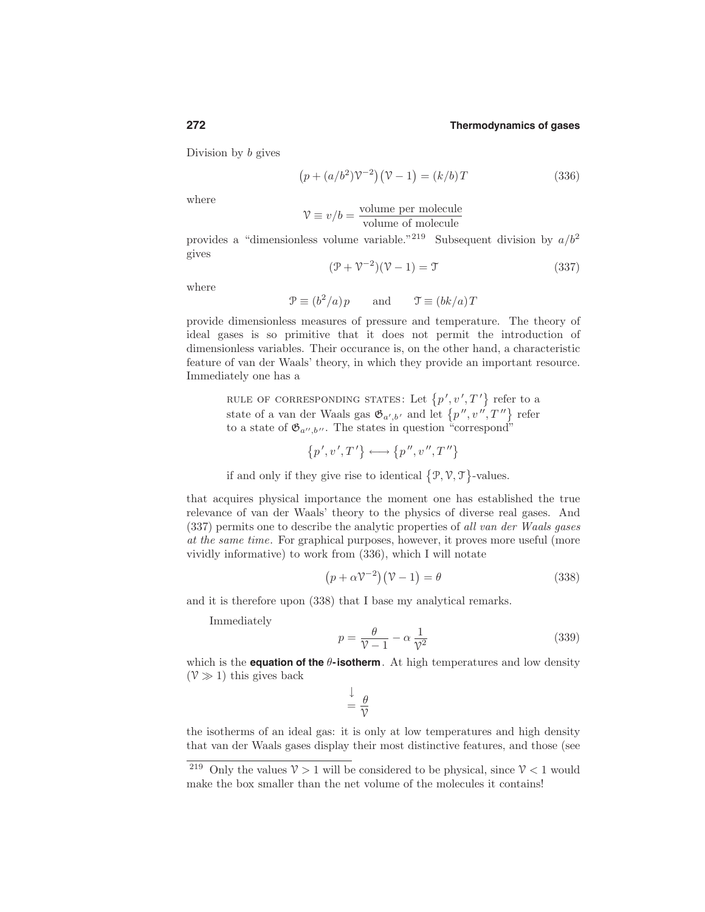Division by b gives

$$
(p + (a/b2)\mathcal{V}-2)(\mathcal{V} - 1) = (k/b)T
$$
\n(336)

where

$$
\mathcal{V} \equiv v/b = \frac{\text{volume per molecule}}{\text{volume of molecule}}
$$

provides a "dimensionless volume variable."<sup>219</sup> Subsequent division by  $a/b^2$ gives

$$
(\mathcal{P} + \mathcal{V}^{-2})(\mathcal{V} - 1) = \mathcal{T}
$$
\n(337)

where

$$
\mathcal{P} \equiv (b^2/a)p \qquad \text{and} \qquad \mathcal{T} \equiv (bk/a)T
$$

provide dimensionless measures of pressure and temperature. The theory of ideal gases is so primitive that it does not permit the introduction of dimensionless variables. Their occurance is, on the other hand, a characteristic feature of van der Waals' theory, in which they provide an important resource. Immediately one has a

RULE OF CORRESPONDING STATES: Let  $\{p', v', T'\}$  refer to a state of a van der Waals gas  $\mathfrak{G}_{a',b'}$  and let  $\{p'',v'',T''\}$  refer to a state of  $\mathfrak{G}_{a'',b''}$ . The states in question "correspond"

$$
\left\{p^{\,\prime},v^{\,\prime},T^{\,\prime}\right\}\longleftrightarrow\left\{p^{\,\prime\prime},v^{\,\prime\prime},T^{\,\prime\prime}\right\}
$$

if and only if they give rise to identical  $\{\mathcal{P}, \mathcal{V}, \mathcal{T}\}$ -values.

that acquires physical importance the moment one has established the true relevance of van der Waals' theory to the physics of diverse real gases. And (337) permits one to describe the analytic properties of all van der Waals gases at the same time. For graphical purposes, however, it proves more useful (more vividly informative) to work from (336), which I will notate

$$
(p + \alpha \mathcal{V}^{-2})(\mathcal{V} - 1) = \theta \tag{338}
$$

and it is therefore upon (338) that I base my analytical remarks.

Immediately

$$
p = \frac{\theta}{\mathcal{V} - 1} - \alpha \frac{1}{\mathcal{V}^2}
$$
 (339)

which is the **equation of the**  $\theta$ -**isotherm**. At high temperatures and low density  $(\mathcal{V} \gg 1)$  this gives back

$$
\frac{\downarrow}{\psi} = \frac{\theta}{\mathcal{V}}
$$

the isotherms of an ideal gas: it is only at low temperatures and high density that van der Waals gases display their most distinctive features, and those (see

<sup>&</sup>lt;sup>219</sup> Only the values  $\mathcal{V} > 1$  will be considered to be physical, since  $\mathcal{V} < 1$  would make the box smaller than the net volume of the molecules it contains!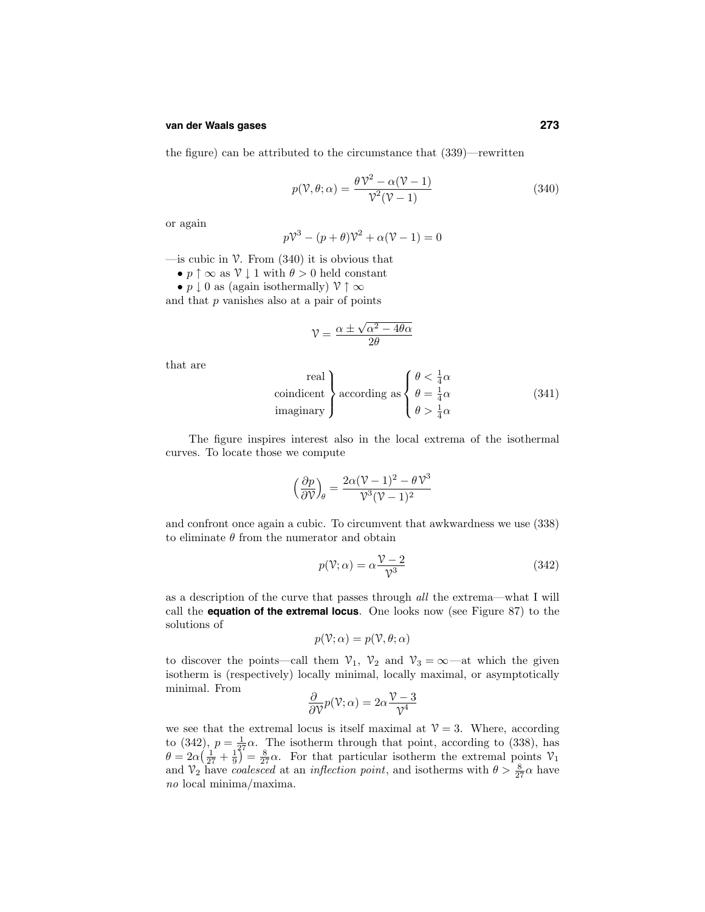### **van der Waals gases 273**

the figure) can be attributed to the circumstance that (339)—rewritten

$$
p(\mathcal{V}, \theta; \alpha) = \frac{\theta \mathcal{V}^2 - \alpha(\mathcal{V} - 1)}{\mathcal{V}^2(\mathcal{V} - 1)}
$$
(340)

or again

$$
p\mathcal{V}^3 - (p+\theta)\mathcal{V}^2 + \alpha(\mathcal{V} - 1) = 0
$$

—is cubic in  $\mathcal V$ . From (340) it is obvious that

- $p \uparrow \infty$  as  $\mathcal{V} \downarrow 1$  with  $\theta > 0$  held constant
- $p \downarrow 0$  as (again isothermally)  $\mathcal{V} \uparrow \infty$

and that  $p$  vanishes also at a pair of points

$$
\mathcal{V} = \frac{\alpha \pm \sqrt{\alpha^2 - 4\theta\alpha}}{2\theta}
$$

that are

real  
coindicent  
imaginary  
according as 
$$
\begin{cases} \theta < \frac{1}{4}\alpha \\ \theta = \frac{1}{4}\alpha \\ \theta > \frac{1}{4}\alpha \end{cases}
$$
 (341)

The figure inspires interest also in the local extrema of the isothermal curves. To locate those we compute

$$
\left(\frac{\partial p}{\partial \mathcal{V}}\right)_{\theta} = \frac{2\alpha(\mathcal{V} - 1)^2 - \theta \mathcal{V}^3}{\mathcal{V}^3 (\mathcal{V} - 1)^2}
$$

and confront once again a cubic. To circumvent that awkwardness we use (338) to eliminate  $\theta$  from the numerator and obtain

$$
p(\mathcal{V}; \alpha) = \alpha \frac{\mathcal{V} - 2}{\mathcal{V}^3} \tag{342}
$$

as a description of the curve that passes through all the extrema—what I will call the **equation of the extremal locus**. One looks now (see Figure 87) to the solutions of

$$
p(\mathcal{V}; \alpha) = p(\mathcal{V}, \theta; \alpha)
$$

to discover the points—call them  $\mathcal{V}_1$ ,  $\mathcal{V}_2$  and  $\mathcal{V}_3 = \infty$ —at which the given isotherm is (respectively) locally minimal, locally maximal, or asymptotically minimal. From

$$
\frac{\partial}{\partial \mathcal{V}} p(\mathcal{V}; \alpha) = 2\alpha \frac{\mathcal{V} - 3}{\mathcal{V}^4}
$$

we see that the extremal locus is itself maximal at  $\mathcal{V}=3$ . Where, according to (342),  $p = \frac{1}{37}\alpha$ . The isotherm through that point, according to (338), has  $\theta = 2\alpha \left(\frac{1}{27} + \frac{1}{9}\right)^2 = \frac{8}{27}\alpha$ . For that particular isotherm the extremal points  $\mathcal{V}_1$ and  $\mathcal{V}_2$  have *coalesced* at an *inflection point*, and isotherms with  $\theta > \frac{8}{27}\alpha$  have no local minima/maxima.